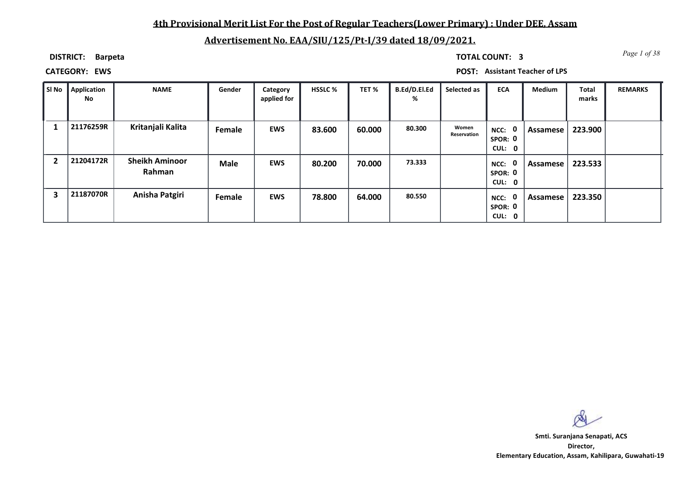## **4th Provisional Merit List For the Post of Regular Teachers(Lower Primary) : Under DEE, Assam**

# **Advertisement No. EAA/SIU/125/Pt-I/39 dated 18/09/2021.**

**DISTRICT: Barpeta**

*Page 1 of 38* **TOTAL COUNT: 3**

**CATEGORY: EWS POST: Assistant Teacher of LPS**

| . Si No        | Application<br>No | <b>NAME</b>                     | Gender      | Category<br>applied for | <b>HSSLC %</b> | TET %  | <b>B.Ed/D.El.Ed</b><br>% | Selected as          | <b>ECA</b>                               | <b>Medium</b> | <b>Total</b><br>marks | <b>REMARKS</b> |
|----------------|-------------------|---------------------------------|-------------|-------------------------|----------------|--------|--------------------------|----------------------|------------------------------------------|---------------|-----------------------|----------------|
|                | 21176259R         | Kritanjali Kalita               | Female      | <b>EWS</b>              | 83.600         | 60.000 | 80.300                   | Women<br>Reservation | NCC: 0<br>SPOR: 0<br>CUL: 0              | Assamese      | 223.900               |                |
| $\overline{2}$ | 21204172R         | <b>Sheikh Aminoor</b><br>Rahman | <b>Male</b> | <b>EWS</b>              | 80.200         | 70.000 | 73.333                   |                      | $\mathbf 0$<br>NCC:<br>SPOR: 0<br>CUL: 0 | Assamese      | 223.533               |                |
| 3              | 21187070R         | Anisha Patgiri                  | Female      | <b>EWS</b>              | 78.800         | 64.000 | 80.550                   |                      | $\mathbf 0$<br>NCC:<br>SPOR: 0<br>CUL: 0 | Assamese      | 223.350               |                |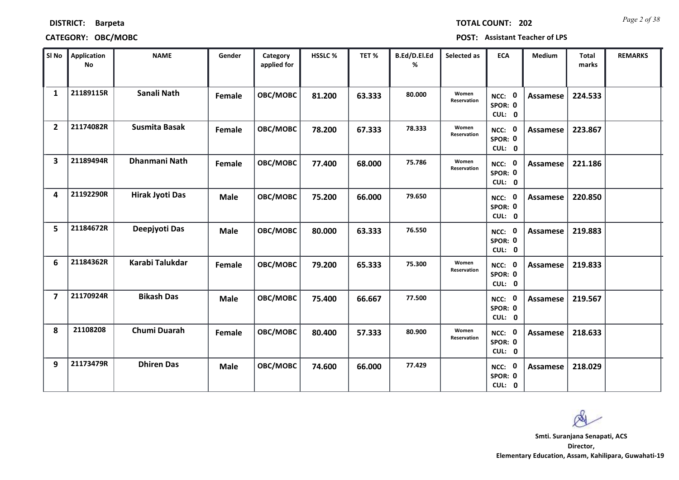| <b>DISTRICT:</b> | <b>Barpeta</b> |  |
|------------------|----------------|--|
|                  |                |  |

## **CATEGORY: OBC/MOBC POST: Assistant Teacher of LPS**

*Page 2 of 38* **TOTAL COUNT: 202**

| SI No                   | <b>Application</b><br><b>No</b> | <b>NAME</b>            | Gender      | Category<br>applied for | HSSLC % | TET %  | B.Ed/D.El.Ed<br>% | Selected as          | <b>ECA</b>                  | <b>Medium</b>   | <b>Total</b><br>marks | <b>REMARKS</b> |
|-------------------------|---------------------------------|------------------------|-------------|-------------------------|---------|--------|-------------------|----------------------|-----------------------------|-----------------|-----------------------|----------------|
| 1                       | 21189115R                       | Sanali Nath            | Female      | OBC/MOBC                | 81.200  | 63.333 | 80.000            | Women<br>Reservation | NCC: 0<br>SPOR: 0<br>CUL: 0 | <b>Assamese</b> | 224.533               |                |
| $\overline{2}$          | 21174082R                       | <b>Susmita Basak</b>   | Female      | OBC/MOBC                | 78.200  | 67.333 | 78.333            | Women<br>Reservation | NCC: 0<br>SPOR: 0<br>CUL: 0 | Assamese        | 223.867               |                |
| 3                       | 21189494R                       | Dhanmani Nath          | Female      | OBC/MOBC                | 77.400  | 68.000 | 75.786            | Women<br>Reservation | NCC: 0<br>SPOR: 0<br>CUL: 0 | <b>Assamese</b> | 221.186               |                |
| 4                       | 21192290R                       | <b>Hirak Jyoti Das</b> | <b>Male</b> | OBC/MOBC                | 75.200  | 66.000 | 79.650            |                      | NCC: 0<br>SPOR: 0<br>CUL: 0 | Assamese        | 220.850               |                |
| 5                       | 21184672R                       | Deepjyoti Das          | <b>Male</b> | OBC/MOBC                | 80.000  | 63.333 | 76.550            |                      | NCC: 0<br>SPOR: 0<br>CUL: 0 | Assamese        | 219.883               |                |
| 6                       | 21184362R                       | Karabi Talukdar        | Female      | OBC/MOBC                | 79.200  | 65.333 | 75.300            | Women<br>Reservation | NCC: 0<br>SPOR: 0<br>CUL: 0 | <b>Assamese</b> | 219.833               |                |
| $\overline{\mathbf{z}}$ | 21170924R                       | <b>Bikash Das</b>      | <b>Male</b> | OBC/MOBC                | 75.400  | 66.667 | 77.500            |                      | NCC: 0<br>SPOR: 0<br>CUL: 0 | <b>Assamese</b> | 219.567               |                |
| 8                       | 21108208                        | Chumi Duarah           | Female      | OBC/MOBC                | 80.400  | 57.333 | 80.900            | Women<br>Reservation | NCC: 0<br>SPOR: 0<br>CUL: 0 | Assamese        | 218.633               |                |
| 9                       | 21173479R                       | <b>Dhiren Das</b>      | <b>Male</b> | OBC/MOBC                | 74.600  | 66.000 | 77.429            |                      | NCC: 0<br>SPOR: 0<br>CUL: 0 | <b>Assamese</b> | 218.029               |                |

 $\infty$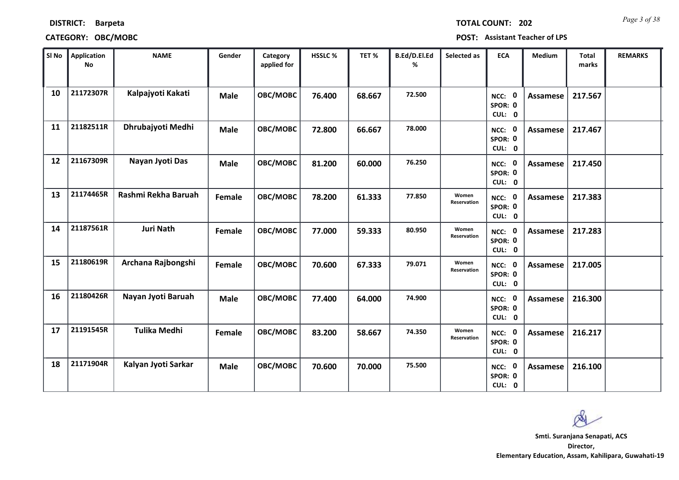|  |  | <b>TOTAL COUNT:</b> |
|--|--|---------------------|

| SI No | <b>Application</b><br>No | <b>NAME</b>         | Gender      | Category<br>applied for | <b>HSSLC %</b> | TET %  | B.Ed/D.El.Ed<br>% | Selected as                 | <b>ECA</b>                               | <b>Medium</b>   | <b>Total</b><br>marks | <b>REMARKS</b> |
|-------|--------------------------|---------------------|-------------|-------------------------|----------------|--------|-------------------|-----------------------------|------------------------------------------|-----------------|-----------------------|----------------|
| 10    | 21172307R                | Kalpajyoti Kakati   | <b>Male</b> | OBC/MOBC                | 76.400         | 68.667 | 72.500            |                             | NCC: 0<br>SPOR: 0<br>CUL: 0              | <b>Assamese</b> | 217.567               |                |
| 11    | 21182511R                | Dhrubajyoti Medhi   | <b>Male</b> | OBC/MOBC                | 72.800         | 66.667 | 78.000            |                             | NCC: 0<br>SPOR: 0<br>CUL: 0              | Assamese        | 217.467               |                |
| 12    | 21167309R                | Nayan Jyoti Das     | <b>Male</b> | OBC/MOBC                | 81.200         | 60.000 | 76.250            |                             | NCC: 0<br>SPOR: 0<br>CUL: 0              | <b>Assamese</b> | 217.450               |                |
| 13    | 21174465R                | Rashmi Rekha Baruah | Female      | OBC/MOBC                | 78.200         | 61.333 | 77.850            | Women<br>Reservation        | $\mathbf 0$<br>NCC:<br>SPOR: 0<br>CUL: 0 | <b>Assamese</b> | 217.383               |                |
| 14    | 21187561R                | <b>Juri Nath</b>    | Female      | OBC/MOBC                | 77.000         | 59.333 | 80.950            | Women<br><b>Reservation</b> | NCC: 0<br>SPOR: 0<br>CUL: 0              | Assamese        | 217.283               |                |
| 15    | 21180619R                | Archana Rajbongshi  | Female      | OBC/MOBC                | 70.600         | 67.333 | 79.071            | Women<br>Reservation        | NCC: 0<br>SPOR: 0<br>CUL: 0              | Assamese        | 217.005               |                |
| 16    | 21180426R                | Nayan Jyoti Baruah  | <b>Male</b> | OBC/MOBC                | 77.400         | 64.000 | 74.900            |                             | NCC: 0<br>SPOR: 0<br>CUL: 0              | <b>Assamese</b> | 216.300               |                |
| 17    | 21191545R                | <b>Tulika Medhi</b> | Female      | OBC/MOBC                | 83.200         | 58.667 | 74.350            | Women<br>Reservation        | NCC: 0<br>SPOR: 0<br>CUL: 0              | Assamese        | 216.217               |                |
| 18    | 21171904R                | Kalyan Jyoti Sarkar | <b>Male</b> | OBC/MOBC                | 70.600         | 70.000 | 75.500            |                             | 0<br>NCC:<br>SPOR: 0<br>CUL: 0           | Assamese        | 216.100               |                |

 $\infty$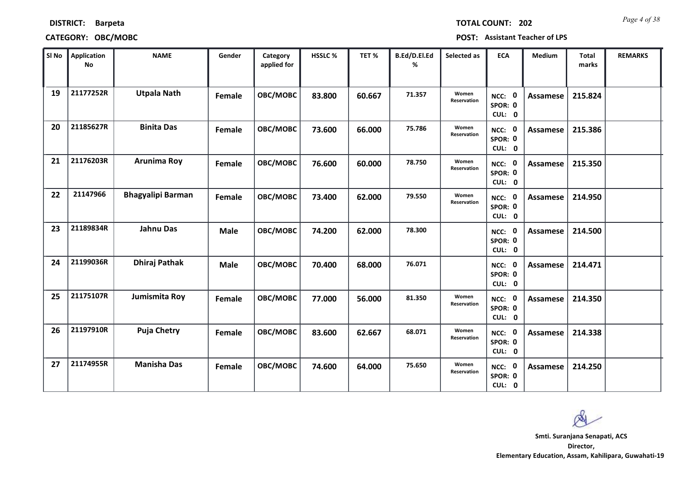| <b>DISTRICT:</b><br><b>Barpeta</b> |
|------------------------------------|
|------------------------------------|

*Page 4 of 38* **TOTAL COUNT: 202**

| SI No | Application<br>No | <b>NAME</b>              | Gender      | Category<br>applied for | HSSLC % | TET %  | B.Ed/D.El.Ed<br>% | Selected as          | <b>ECA</b>                  | <b>Medium</b>   | <b>Total</b><br>marks | <b>REMARKS</b> |
|-------|-------------------|--------------------------|-------------|-------------------------|---------|--------|-------------------|----------------------|-----------------------------|-----------------|-----------------------|----------------|
| 19    | 21177252R         | <b>Utpala Nath</b>       | Female      | OBC/MOBC                | 83.800  | 60.667 | 71.357            | Women<br>Reservation | NCC: 0<br>SPOR: 0<br>CUL: 0 | <b>Assamese</b> | 215.824               |                |
| 20    | 21185627R         | <b>Binita Das</b>        | Female      | OBC/MOBC                | 73.600  | 66.000 | 75.786            | Women<br>Reservation | NCC: 0<br>SPOR: 0<br>CUL: 0 | <b>Assamese</b> | 215.386               |                |
| 21    | 21176203R         | <b>Arunima Roy</b>       | Female      | OBC/MOBC                | 76.600  | 60.000 | 78.750            | Women<br>Reservation | NCC: 0<br>SPOR: 0<br>CUL: 0 | <b>Assamese</b> | 215.350               |                |
| 22    | 21147966          | <b>Bhagyalipi Barman</b> | Female      | OBC/MOBC                | 73.400  | 62.000 | 79.550            | Women<br>Reservation | NCC: 0<br>SPOR: 0<br>CUL: 0 | Assamese        | 214.950               |                |
| 23    | 21189834R         | <b>Jahnu Das</b>         | <b>Male</b> | OBC/MOBC                | 74.200  | 62.000 | 78.300            |                      | NCC: 0<br>SPOR: 0<br>CUL: 0 | <b>Assamese</b> | 214.500               |                |
| 24    | 21199036R         | <b>Dhiraj Pathak</b>     | <b>Male</b> | OBC/MOBC                | 70.400  | 68.000 | 76.071            |                      | NCC: 0<br>SPOR: 0<br>CUL: 0 | <b>Assamese</b> | 214.471               |                |
| 25    | 21175107R         | Jumismita Roy            | Female      | OBC/MOBC                | 77.000  | 56.000 | 81.350            | Women<br>Reservation | NCC: 0<br>SPOR: 0<br>CUL: 0 | <b>Assamese</b> | 214.350               |                |
| 26    | 21197910R         | <b>Puja Chetry</b>       | Female      | OBC/MOBC                | 83.600  | 62.667 | 68.071            | Women<br>Reservation | NCC: 0<br>SPOR: 0<br>CUL: 0 | <b>Assamese</b> | 214.338               |                |
| 27    | 21174955R         | <b>Manisha Das</b>       | Female      | OBC/MOBC                | 74.600  | 64.000 | 75.650            | Women<br>Reservation | NCC: 0<br>SPOR: 0<br>CUL: 0 | <b>Assamese</b> | 214.250               |                |

 $\infty$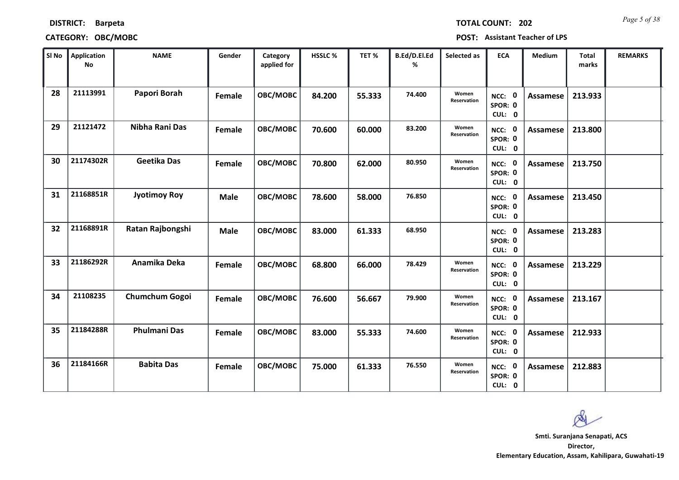| <b>TOTAL C</b> |
|----------------|

| SI No | <b>Application</b><br>No | <b>NAME</b>           | Gender      | Category<br>applied for | <b>HSSLC%</b> | TET %  | <b>B.Ed/D.El.Ed</b><br>% | Selected as          | <b>ECA</b>                  | <b>Medium</b>   | Total<br>marks | <b>REMARKS</b> |
|-------|--------------------------|-----------------------|-------------|-------------------------|---------------|--------|--------------------------|----------------------|-----------------------------|-----------------|----------------|----------------|
| 28    | 21113991                 | Papori Borah          | Female      | OBC/MOBC                | 84.200        | 55.333 | 74.400                   | Women<br>Reservation | NCC: 0<br>SPOR: 0<br>CUL: 0 | <b>Assamese</b> | 213.933        |                |
| 29    | 21121472                 | Nibha Rani Das        | Female      | OBC/MOBC                | 70.600        | 60.000 | 83.200                   | Women<br>Reservation | NCC: 0<br>SPOR: 0<br>CUL: 0 | Assamese        | 213.800        |                |
| 30    | 21174302R                | <b>Geetika Das</b>    | Female      | OBC/MOBC                | 70.800        | 62.000 | 80.950                   | Women<br>Reservation | NCC: 0<br>SPOR: 0<br>CUL: 0 | Assamese        | 213.750        |                |
| 31    | 21168851R                | <b>Jyotimoy Roy</b>   | <b>Male</b> | OBC/MOBC                | 78.600        | 58.000 | 76.850                   |                      | NCC: 0<br>SPOR: 0<br>CUL: 0 | Assamese        | 213.450        |                |
| 32    | 21168891R                | Ratan Rajbongshi      | <b>Male</b> | OBC/MOBC                | 83.000        | 61.333 | 68.950                   |                      | NCC: 0<br>SPOR: 0<br>CUL: 0 | <b>Assamese</b> | 213.283        |                |
| 33    | 21186292R                | Anamika Deka          | Female      | OBC/MOBC                | 68.800        | 66.000 | 78.429                   | Women<br>Reservation | NCC: 0<br>SPOR: 0<br>CUL: 0 | Assamese        | 213.229        |                |
| 34    | 21108235                 | <b>Chumchum Gogoi</b> | Female      | OBC/MOBC                | 76.600        | 56.667 | 79.900                   | Women<br>Reservation | NCC: 0<br>SPOR: 0<br>CUL: 0 | Assamese        | 213.167        |                |
| 35    | 21184288R                | <b>Phulmani Das</b>   | Female      | OBC/MOBC                | 83.000        | 55.333 | 74.600                   | Women<br>Reservation | NCC: 0<br>SPOR: 0<br>CUL: 0 | <b>Assamese</b> | 212.933        |                |
| 36    | 21184166R                | <b>Babita Das</b>     | Female      | OBC/MOBC                | 75.000        | 61.333 | 76.550                   | Women<br>Reservation | NCC: 0<br>SPOR: 0<br>CUL: 0 | Assamese        | 212.883        |                |

Q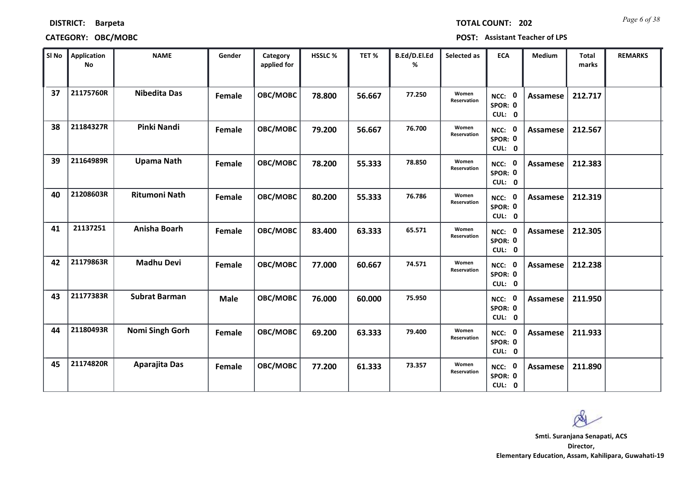|  | <b>TOTAL COUNT:</b> |
|--|---------------------|
|  |                     |
|  |                     |

| SI No | <b>Application</b><br>No | <b>NAME</b>          | Gender      | Category<br>applied for | <b>HSSLC %</b> | TET %  | B.Ed/D.El.Ed<br>% | Selected as          | <b>ECA</b>                               | <b>Medium</b>   | <b>Total</b><br>marks | <b>REMARKS</b> |
|-------|--------------------------|----------------------|-------------|-------------------------|----------------|--------|-------------------|----------------------|------------------------------------------|-----------------|-----------------------|----------------|
| 37    | 21175760R                | <b>Nibedita Das</b>  | Female      | OBC/MOBC                | 78.800         | 56.667 | 77.250            | Women<br>Reservation | NCC: 0<br>SPOR: 0<br>CUL: 0              | <b>Assamese</b> | 212.717               |                |
| 38    | 21184327R                | Pinki Nandi          | Female      | OBC/MOBC                | 79.200         | 56.667 | 76.700            | Women<br>Reservation | NCC: 0<br>SPOR: 0<br>CUL: 0              | Assamese        | 212.567               |                |
| 39    | 21164989R                | <b>Upama Nath</b>    | Female      | OBC/MOBC                | 78.200         | 55.333 | 78.850            | Women<br>Reservation | NCC: 0<br>SPOR: 0<br>CUL: 0              | Assamese        | 212.383               |                |
| 40    | 21208603R                | <b>Ritumoni Nath</b> | Female      | OBC/MOBC                | 80.200         | 55.333 | 76.786            | Women<br>Reservation | $\mathbf 0$<br>NCC:<br>SPOR: 0<br>CUL: 0 | Assamese        | 212.319               |                |
| 41    | 21137251                 | Anisha Boarh         | Female      | OBC/MOBC                | 83.400         | 63.333 | 65.571            | Women<br>Reservation | NCC: 0<br>SPOR: 0<br>CUL: 0              | <b>Assamese</b> | 212.305               |                |
| 42    | 21179863R                | <b>Madhu Devi</b>    | Female      | OBC/MOBC                | 77.000         | 60.667 | 74.571            | Women<br>Reservation | NCC: 0<br>SPOR: 0<br>CUL: 0              | <b>Assamese</b> | 212.238               |                |
| 43    | 21177383R                | <b>Subrat Barman</b> | <b>Male</b> | <b>OBC/MOBC</b>         | 76.000         | 60.000 | 75.950            |                      | NCC: 0<br>SPOR: 0<br>CUL: 0              | <b>Assamese</b> | 211.950               |                |
| 44    | 21180493R                | Nomi Singh Gorh      | Female      | OBC/MOBC                | 69.200         | 63.333 | 79.400            | Women<br>Reservation | NCC: 0<br>SPOR: 0<br>CUL: 0              | Assamese        | 211.933               |                |
| 45    | 21174820R                | <b>Aparajita Das</b> | Female      | OBC/MOBC                | 77.200         | 61.333 | 73.357            | Women<br>Reservation | NCC: 0<br>SPOR: 0<br>CUL: 0              | Assamese        | 211.890               |                |

 $\infty$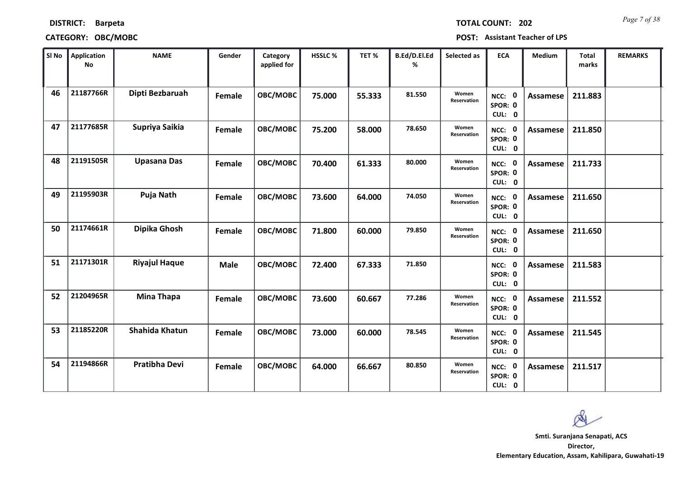|  | <b>TOTAL COUNT:</b> | 20 |
|--|---------------------|----|
|  |                     |    |

| SI No | <b>Application</b><br>No | <b>NAME</b>          | Gender      | Category<br>applied for | HSSLC % | TET %  | B.Ed/D.El.Ed<br>% | Selected as          | <b>ECA</b>                  | <b>Medium</b>   | <b>Total</b><br>marks | <b>REMARKS</b> |
|-------|--------------------------|----------------------|-------------|-------------------------|---------|--------|-------------------|----------------------|-----------------------------|-----------------|-----------------------|----------------|
| 46    | 21187766R                | Dipti Bezbaruah      | Female      | OBC/MOBC                | 75.000  | 55.333 | 81.550            | Women<br>Reservation | NCC: 0<br>SPOR: 0<br>CUL: 0 | <b>Assamese</b> | 211.883               |                |
| 47    | 21177685R                | Supriya Saikia       | Female      | OBC/MOBC                | 75.200  | 58.000 | 78.650            | Women<br>Reservation | NCC: 0<br>SPOR: 0<br>CUL: 0 | Assamese        | 211.850               |                |
| 48    | 21191505R                | <b>Upasana Das</b>   | Female      | OBC/MOBC                | 70.400  | 61.333 | 80.000            | Women<br>Reservation | NCC: 0<br>SPOR: 0<br>CUL: 0 | <b>Assamese</b> | 211.733               |                |
| 49    | 21195903R                | Puja Nath            | Female      | OBC/MOBC                | 73.600  | 64.000 | 74.050            | Women<br>Reservation | NCC: 0<br>SPOR: 0<br>CUL: 0 | <b>Assamese</b> | 211.650               |                |
| 50    | 21174661R                | Dipika Ghosh         | Female      | OBC/MOBC                | 71.800  | 60.000 | 79.850            | Women<br>Reservation | NCC: 0<br>SPOR: 0<br>CUL: 0 | Assamese        | 211.650               |                |
| 51    | 21171301R                | <b>Riyajul Haque</b> | <b>Male</b> | OBC/MOBC                | 72.400  | 67.333 | 71.850            |                      | NCC: 0<br>SPOR: 0<br>CUL: 0 | <b>Assamese</b> | 211.583               |                |
| 52    | 21204965R                | <b>Mina Thapa</b>    | Female      | OBC/MOBC                | 73.600  | 60.667 | 77.286            | Women<br>Reservation | NCC: 0<br>SPOR: 0<br>CUL: 0 | <b>Assamese</b> | 211.552               |                |
| 53    | 21185220R                | Shahida Khatun       | Female      | OBC/MOBC                | 73.000  | 60.000 | 78.545            | Women<br>Reservation | NCC: 0<br>SPOR: 0<br>CUL: 0 | Assamese        | 211.545               |                |
| 54    | 21194866R                | <b>Pratibha Devi</b> | Female      | OBC/MOBC                | 64.000  | 66.667 | 80.850            | Women<br>Reservation | NCC: 0<br>SPOR: 0<br>CUL: 0 | Assamese        | 211.517               |                |

 $\infty$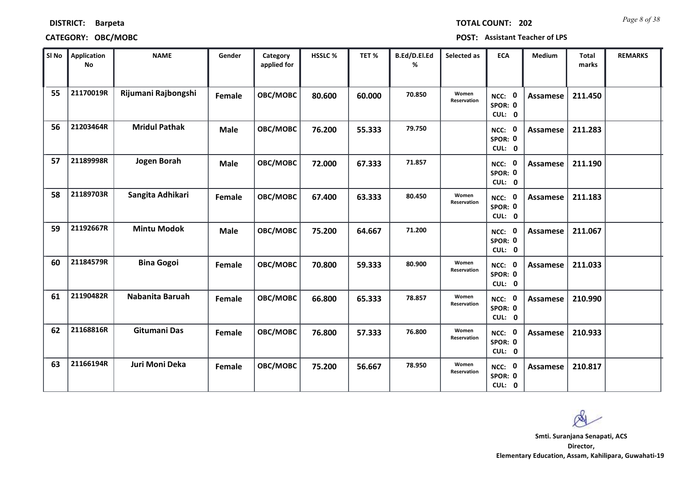|  | TOTAL COUNT: |  | $20^{\circ}$ |
|--|--------------|--|--------------|
|  |              |  |              |

## **CATEGORY: OBC/MOBC POST: Assistant Teacher of LPS**

| SI No | <b>Application</b><br>No | <b>NAME</b>          | Gender      | Category<br>applied for | HSSLC % | TET %  | B.Ed/D.El.Ed<br>% | Selected as          | <b>ECA</b>                  | Medium          | <b>Total</b><br>marks | <b>REMARKS</b> |
|-------|--------------------------|----------------------|-------------|-------------------------|---------|--------|-------------------|----------------------|-----------------------------|-----------------|-----------------------|----------------|
| 55    | 21170019R                | Rijumani Rajbongshi  | Female      | OBC/MOBC                | 80.600  | 60.000 | 70.850            | Women<br>Reservation | NCC: 0<br>SPOR: 0<br>CUL: 0 | Assamese        | 211.450               |                |
| 56    | 21203464R                | <b>Mridul Pathak</b> | <b>Male</b> | OBC/MOBC                | 76.200  | 55.333 | 79.750            |                      | NCC: 0<br>SPOR: 0<br>CUL: 0 | Assamese        | 211.283               |                |
| 57    | 21189998R                | <b>Jogen Borah</b>   | <b>Male</b> | OBC/MOBC                | 72.000  | 67.333 | 71.857            |                      | NCC: 0<br>SPOR: 0<br>CUL: 0 | Assamese        | 211.190               |                |
| 58    | 21189703R                | Sangita Adhikari     | Female      | OBC/MOBC                | 67.400  | 63.333 | 80.450            | Women<br>Reservation | NCC: 0<br>SPOR: 0<br>CUL: 0 | Assamese        | 211.183               |                |
| 59    | 21192667R                | <b>Mintu Modok</b>   | <b>Male</b> | OBC/MOBC                | 75.200  | 64.667 | 71.200            |                      | NCC: 0<br>SPOR: 0<br>CUL: 0 | Assamese        | 211.067               |                |
| 60    | 21184579R                | <b>Bina Gogoi</b>    | Female      | OBC/MOBC                | 70.800  | 59.333 | 80.900            | Women<br>Reservation | NCC: 0<br>SPOR: 0<br>CUL: 0 | <b>Assamese</b> | 211.033               |                |
| 61    | 21190482R                | Nabanita Baruah      | Female      | OBC/MOBC                | 66.800  | 65.333 | 78.857            | Women<br>Reservation | NCC: 0<br>SPOR: 0<br>CUL: 0 | Assamese        | 210.990               |                |
| 62    | 21168816R                | <b>Gitumani Das</b>  | Female      | OBC/MOBC                | 76.800  | 57.333 | 76.800            | Women<br>Reservation | NCC: 0<br>SPOR: 0<br>CUL: 0 | Assamese        | 210.933               |                |
| 63    | 21166194R                | Juri Moni Deka       | Female      | OBC/MOBC                | 75.200  | 56.667 | 78.950            | Women<br>Reservation | NCC: 0<br>SPOR: 0<br>CUL: 0 | Assamese        | 210.817               |                |

**Director, Elementary Education, Assam, Kahilipara, Guwahati-19 Smti. Suranjana Senapati, ACS**

 $\infty$ 

**2** *Page 8 of 38*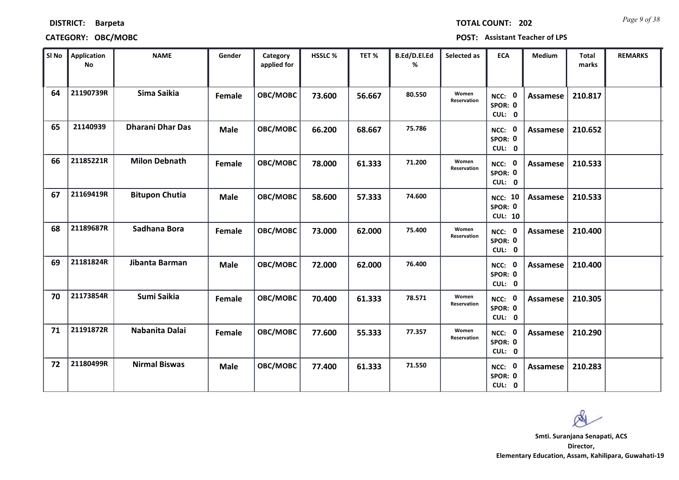## **CATEGORY: OBC/MOBC POST: Assistant Teacher of LPS**

**DISTRICT: Barpeta**

| SI No | Application<br><b>No</b> | <b>NAME</b>             | Gender      | Category<br>applied for | <b>HSSLC %</b> | TET%   | B.Ed/D.El.Ed<br>% | Selected as                 | <b>ECA</b>                                  | <b>Medium</b>   | <b>Total</b><br>marks | <b>REMARKS</b> |
|-------|--------------------------|-------------------------|-------------|-------------------------|----------------|--------|-------------------|-----------------------------|---------------------------------------------|-----------------|-----------------------|----------------|
| 64    | 21190739R                | Sima Saikia             | Female      | OBC/MOBC                | 73.600         | 56.667 | 80.550            | Women<br><b>Reservation</b> | NCC: 0<br>SPOR: 0<br>CUL: 0                 | Assamese        | 210.817               |                |
| 65    | 21140939                 | <b>Dharani Dhar Das</b> | <b>Male</b> | OBC/MOBC                | 66.200         | 68.667 | 75.786            |                             | NCC: 0<br>SPOR: 0<br>CUL: 0                 | Assamese        | 210.652               |                |
| 66    | 21185221R                | <b>Milon Debnath</b>    | Female      | OBC/MOBC                | 78.000         | 61.333 | 71.200            | Women<br>Reservation        | NCC: 0<br>SPOR: 0<br>CUL: 0                 | <b>Assamese</b> | 210.533               |                |
| 67    | 21169419R                | <b>Bitupon Chutia</b>   | <b>Male</b> | OBC/MOBC                | 58.600         | 57.333 | 74.600            |                             | <b>NCC: 10</b><br>SPOR: 0<br><b>CUL: 10</b> | <b>Assamese</b> | 210.533               |                |
| 68    | 21189687R                | Sadhana Bora            | Female      | OBC/MOBC                | 73.000         | 62.000 | 75.400            | Women<br><b>Reservation</b> | NCC: 0<br>SPOR: 0<br>CUL: 0                 | <b>Assamese</b> | 210.400               |                |
| 69    | 21181824R                | Jibanta Barman          | <b>Male</b> | OBC/MOBC                | 72.000         | 62.000 | 76.400            |                             | NCC: 0<br>SPOR: 0<br>CUL: 0                 | <b>Assamese</b> | 210.400               |                |
| 70    | 21173854R                | Sumi Saikia             | Female      | OBC/MOBC                | 70.400         | 61.333 | 78.571            | Women<br>Reservation        | NCC: 0<br>SPOR: 0<br>CUL: 0                 | Assamese        | 210.305               |                |
| 71    | 21191872R                | Nabanita Dalai          | Female      | OBC/MOBC                | 77.600         | 55.333 | 77.357            | Women<br>Reservation        | NCC: 0<br>SPOR: 0<br>CUL: 0                 | Assamese        | 210.290               |                |
| 72    | 21180499R                | <b>Nirmal Biswas</b>    | <b>Male</b> | OBC/MOBC                | 77.400         | 61.333 | 71.550            |                             | NCC: 0<br>SPOR: 0<br>CUL: 0                 | Assamese        | 210.283               |                |

*Page 9 of 38* **TOTAL COUNT: 202**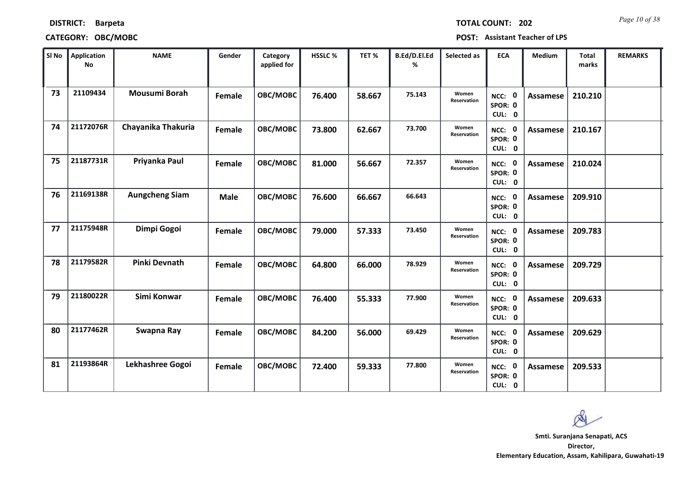| <b>TOTAL COUNT: 202</b> |  | Page 10 of 38 |
|-------------------------|--|---------------|
|-------------------------|--|---------------|

| SI No | <b>Application</b><br>No | <b>NAME</b>           | Gender      | Category<br>applied for | HSSLC % | TET %  | B.Ed/D.El.Ed<br>% | Selected as          | <b>ECA</b>                  | <b>Medium</b>   | <b>Total</b><br>marks | <b>REMARKS</b> |
|-------|--------------------------|-----------------------|-------------|-------------------------|---------|--------|-------------------|----------------------|-----------------------------|-----------------|-----------------------|----------------|
| 73    | 21109434                 | <b>Mousumi Borah</b>  | Female      | OBC/MOBC                | 76.400  | 58.667 | 75.143            | Women<br>Reservation | NCC: 0<br>SPOR: 0<br>CUL: 0 | Assamese        | 210.210               |                |
| 74    | 21172076R                | Chayanika Thakuria    | Female      | OBC/MOBC                | 73.800  | 62.667 | 73.700            | Women<br>Reservation | NCC: 0<br>SPOR: 0<br>CUL: 0 | Assamese        | 210.167               |                |
| 75    | 21187731R                | Priyanka Paul         | Female      | OBC/MOBC                | 81.000  | 56.667 | 72.357            | Women<br>Reservation | NCC: 0<br>SPOR: 0<br>CUL: 0 | <b>Assamese</b> | 210.024               |                |
| 76    | 21169138R                | <b>Aungcheng Siam</b> | <b>Male</b> | OBC/MOBC                | 76.600  | 66.667 | 66.643            |                      | NCC: 0<br>SPOR: 0<br>CUL: 0 | <b>Assamese</b> | 209.910               |                |
| 77    | 21175948R                | Dimpi Gogoi           | Female      | OBC/MOBC                | 79.000  | 57.333 | 73.450            | Women<br>Reservation | NCC: 0<br>SPOR: 0<br>CUL: 0 | Assamese        | 209.783               |                |
| 78    | 21179582R                | <b>Pinki Devnath</b>  | Female      | OBC/MOBC                | 64.800  | 66.000 | 78.929            | Women<br>Reservation | NCC: 0<br>SPOR: 0<br>CUL: 0 | Assamese        | 209.729               |                |
| 79    | 21180022R                | Simi Konwar           | Female      | OBC/MOBC                | 76.400  | 55.333 | 77.900            | Women<br>Reservation | NCC: 0<br>SPOR: 0<br>CUL: 0 | Assamese        | 209.633               |                |
| 80    | 21177462R                | Swapna Ray            | Female      | OBC/MOBC                | 84.200  | 56.000 | 69.429            | Women<br>Reservation | NCC: 0<br>SPOR: 0<br>CUL: 0 | Assamese        | 209.629               |                |
| 81    | 21193864R                | Lekhashree Gogoi      | Female      | OBC/MOBC                | 72.400  | 59.333 | 77.800            | Women<br>Reservation | NCC: 0<br>SPOR: 0<br>CUL: 0 | Assamese        | 209.533               |                |

 $\infty$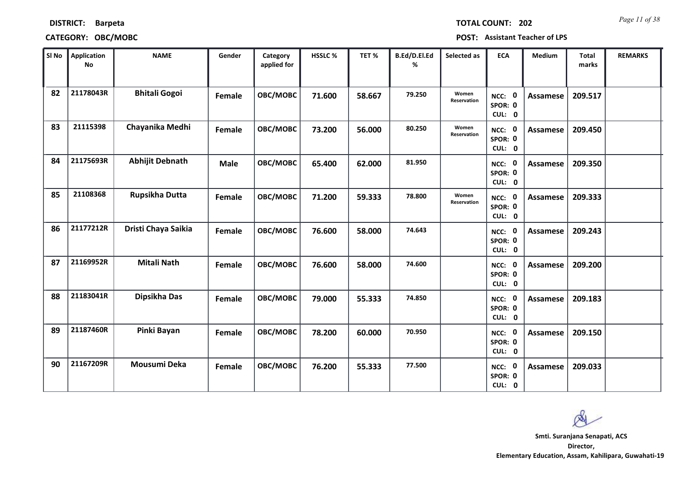## **CATEGORY: OBC/MOBC POST: Assistant Teacher of LPS**

*Page 11 of 38* **TOTAL COUNT: 202**

|  | POST: Assistant Teacher of LPS |  |  |
|--|--------------------------------|--|--|
|--|--------------------------------|--|--|

| SI No | <b>Application</b><br><b>No</b> | <b>NAME</b>            | Gender      | Category<br>applied for | HSSLC % | TET %  | B.Ed/D.El.Ed<br>% | Selected as          | <b>ECA</b>                  | Medium          | <b>Total</b><br>marks | <b>REMARKS</b> |
|-------|---------------------------------|------------------------|-------------|-------------------------|---------|--------|-------------------|----------------------|-----------------------------|-----------------|-----------------------|----------------|
| 82    | 21178043R                       | <b>Bhitali Gogoi</b>   | Female      | OBC/MOBC                | 71.600  | 58.667 | 79.250            | Women<br>Reservation | NCC: 0<br>SPOR: 0<br>CUL: 0 | <b>Assamese</b> | 209.517               |                |
| 83    | 21115398                        | Chayanika Medhi        | Female      | OBC/MOBC                | 73.200  | 56.000 | 80.250            | Women<br>Reservation | NCC: 0<br>SPOR: 0<br>CUL: 0 | <b>Assamese</b> | 209.450               |                |
| 84    | 21175693R                       | <b>Abhijit Debnath</b> | <b>Male</b> | OBC/MOBC                | 65.400  | 62.000 | 81.950            |                      | NCC: 0<br>SPOR: 0<br>CUL: 0 | <b>Assamese</b> | 209.350               |                |
| 85    | 21108368                        | Rupsikha Dutta         | Female      | OBC/MOBC                | 71.200  | 59.333 | 78.800            | Women<br>Reservation | NCC: 0<br>SPOR: 0<br>CUL: 0 | <b>Assamese</b> | 209.333               |                |
| 86    | 21177212R                       | Dristi Chaya Saikia    | Female      | OBC/MOBC                | 76.600  | 58.000 | 74.643            |                      | NCC: 0<br>SPOR: 0<br>CUL: 0 | Assamese        | 209.243               |                |
| 87    | 21169952R                       | <b>Mitali Nath</b>     | Female      | OBC/MOBC                | 76.600  | 58.000 | 74.600            |                      | NCC: 0<br>SPOR: 0<br>CUL: 0 | <b>Assamese</b> | 209.200               |                |
| 88    | 21183041R                       | Dipsikha Das           | Female      | OBC/MOBC                | 79.000  | 55.333 | 74.850            |                      | NCC: 0<br>SPOR: 0<br>CUL: 0 | Assamese        | 209.183               |                |
| 89    | 21187460R                       | Pinki Bayan            | Female      | OBC/MOBC                | 78.200  | 60.000 | 70.950            |                      | NCC: 0<br>SPOR: 0<br>CUL: 0 | <b>Assamese</b> | 209.150               |                |
| 90    | 21167209R                       | Mousumi Deka           | Female      | OBC/MOBC                | 76.200  | 55.333 | 77.500            |                      | NCC: 0<br>SPOR: 0<br>CUL: 0 | <b>Assamese</b> | 209.033               |                |

 $\infty$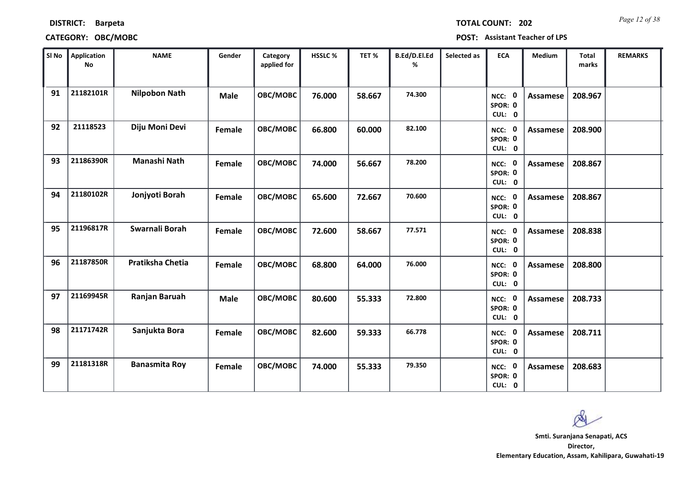|  | <b>TOTAL COL</b> |
|--|------------------|
|  |                  |

## **CATEGORY: OBC/MOBC POST: Assistant Teacher of LPS**

| SI No | <b>Application</b><br>No | <b>NAME</b>          | Gender      | Category<br>applied for | HSSLC % | TET %  | B.Ed/D.El.Ed<br>% | Selected as | <b>ECA</b>                               | <b>Medium</b>   | <b>Total</b><br>marks | <b>REMARKS</b> |
|-------|--------------------------|----------------------|-------------|-------------------------|---------|--------|-------------------|-------------|------------------------------------------|-----------------|-----------------------|----------------|
| 91    | 21182101R                | <b>Nilpobon Nath</b> | <b>Male</b> | OBC/MOBC                | 76.000  | 58.667 | 74.300            |             | $\mathbf 0$<br>NCC:<br>SPOR: 0<br>CUL: 0 | Assamese        | 208.967               |                |
| 92    | 21118523                 | Diju Moni Devi       | Female      | OBC/MOBC                | 66.800  | 60.000 | 82.100            |             | NCC: 0<br>SPOR: 0<br>CUL: 0              | Assamese        | 208.900               |                |
| 93    | 21186390R                | Manashi Nath         | Female      | OBC/MOBC                | 74.000  | 56.667 | 78.200            |             | NCC: 0<br>SPOR: 0<br>CUL: 0              | Assamese        | 208.867               |                |
| 94    | 21180102R                | Jonjyoti Borah       | Female      | OBC/MOBC                | 65.600  | 72.667 | 70.600            |             | NCC: 0<br>SPOR: 0<br>CUL: 0              | Assamese        | 208.867               |                |
| 95    | 21196817R                | Swarnali Borah       | Female      | OBC/MOBC                | 72.600  | 58.667 | 77.571            |             | NCC: 0<br>SPOR: 0<br>CUL: 0              | <b>Assamese</b> | 208.838               |                |
| 96    | 21187850R                | Pratiksha Chetia     | Female      | OBC/MOBC                | 68.800  | 64.000 | 76.000            |             | NCC: 0<br>SPOR: 0<br>CUL: 0              | <b>Assamese</b> | 208.800               |                |
| 97    | 21169945R                | Ranjan Baruah        | <b>Male</b> | OBC/MOBC                | 80.600  | 55.333 | 72.800            |             | NCC: 0<br>SPOR: 0<br>CUL: 0              | Assamese        | 208.733               |                |
| 98    | 21171742R                | Sanjukta Bora        | Female      | OBC/MOBC                | 82.600  | 59.333 | 66.778            |             | NCC: 0<br>SPOR: 0<br>CUL: 0              | Assamese        | 208.711               |                |
| 99    | 21181318R                | <b>Banasmita Roy</b> | Female      | OBC/MOBC                | 74.000  | 55.333 | 79.350            |             | NCC: 0<br>SPOR: 0<br>CUL: 0              | Assamese        | 208.683               |                |

**Director, Smti. Suranjana Senapati, ACS**

**Elementary Education, Assam, Kahilipara, Guwahati-19**

Q

**Page 12 of 38 Page 12 of 38**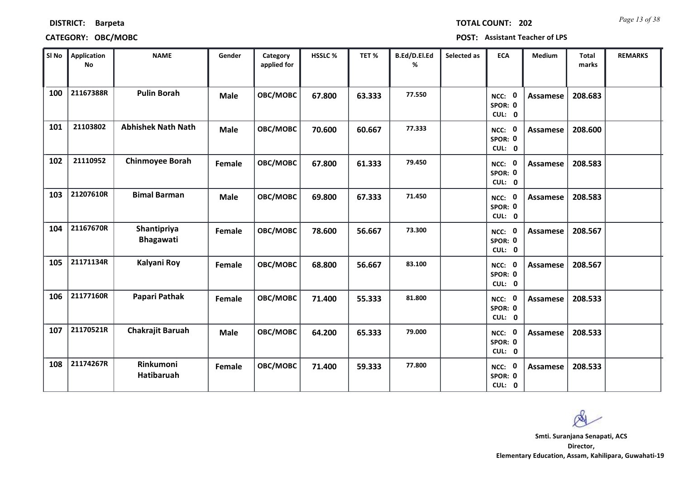| SI No | Application<br><b>No</b> | <b>NAME</b>                     | Gender      | Category<br>applied for | HSSLC% | TET%   | B.Ed/D.El.Ed<br>% | Selected as | ECA                         | Medium          | <b>Total</b><br>marks | <b>REMARKS</b> |
|-------|--------------------------|---------------------------------|-------------|-------------------------|--------|--------|-------------------|-------------|-----------------------------|-----------------|-----------------------|----------------|
| 100   | 21167388R                | <b>Pulin Borah</b>              | <b>Male</b> | OBC/MOBC                | 67.800 | 63.333 | 77.550            |             | NCC: 0<br>SPOR: 0<br>CUL: 0 | Assamese        | 208.683               |                |
| 101   | 21103802                 | <b>Abhishek Nath Nath</b>       | <b>Male</b> | OBC/MOBC                | 70.600 | 60.667 | 77.333            |             | NCC: 0<br>SPOR: 0<br>CUL: 0 | <b>Assamese</b> | 208.600               |                |
| 102   | 21110952                 | <b>Chinmoyee Borah</b>          | Female      | OBC/MOBC                | 67.800 | 61.333 | 79.450            |             | NCC: 0<br>SPOR: 0<br>CUL: 0 | <b>Assamese</b> | 208.583               |                |
| 103   | 21207610R                | <b>Bimal Barman</b>             | <b>Male</b> | OBC/MOBC                | 69.800 | 67.333 | 71.450            |             | NCC: 0<br>SPOR: 0<br>CUL: 0 | <b>Assamese</b> | 208.583               |                |
| 104   | 21167670R                | Shantipriya<br><b>Bhagawati</b> | Female      | OBC/MOBC                | 78.600 | 56.667 | 73.300            |             | NCC: 0<br>SPOR: 0<br>CUL: 0 | <b>Assamese</b> | 208.567               |                |
| 105   | 21171134R                | Kalyani Roy                     | Female      | OBC/MOBC                | 68.800 | 56.667 | 83.100            |             | NCC: 0<br>SPOR: 0<br>CUL: 0 | <b>Assamese</b> | 208.567               |                |
| 106   | 21177160R                | Papari Pathak                   | Female      | OBC/MOBC                | 71.400 | 55.333 | 81.800            |             | NCC: 0<br>SPOR: 0<br>CUL: 0 | <b>Assamese</b> | 208.533               |                |
| 107   | 21170521R                | Chakrajit Baruah                | <b>Male</b> | OBC/MOBC                | 64.200 | 65.333 | 79.000            |             | NCC: 0<br>SPOR: 0<br>CUL: 0 | <b>Assamese</b> | 208.533               |                |
| 108   | 21174267R                | Rinkumoni<br>Hatibaruah         | Female      | OBC/MOBC                | 71.400 | 59.333 | 77.800            |             | NCC: 0<br>SPOR: 0<br>CUL: 0 | <b>Assamese</b> | 208.533               |                |

## **CATEGORY: OBC/MOBC POST: Assistant Teacher of LPS**

*Page 13 of 38* **TOTAL COUNT: 202**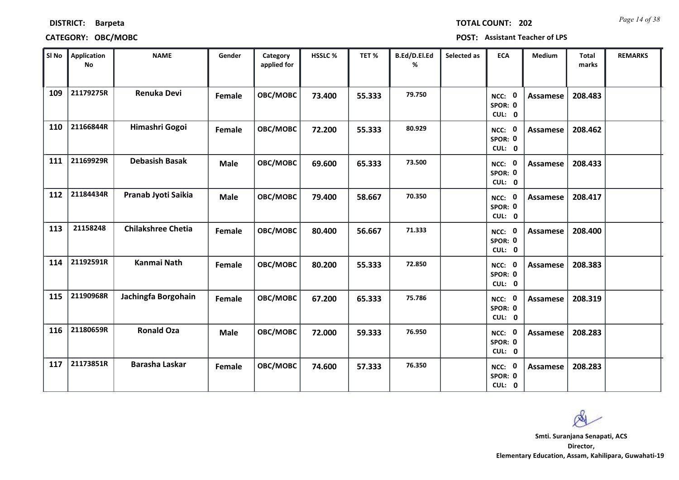## **CATEGORY: OBC/MOBC POST: Assistant Teacher of LPS**

*Page 14 of 38* **TOTAL COUNT: 202**

| POST: . |  | <b>Assistant Teacher of LPS</b> |
|---------|--|---------------------------------|
|---------|--|---------------------------------|

| SI No | <b>Application</b><br>No | <b>NAME</b>               | Gender        | Category<br>applied for | HSSLC % | TET %  | B.Ed/D.El.Ed<br>% | Selected as | <b>ECA</b>                  | <b>Medium</b>   | <b>Total</b><br>marks | <b>REMARKS</b> |
|-------|--------------------------|---------------------------|---------------|-------------------------|---------|--------|-------------------|-------------|-----------------------------|-----------------|-----------------------|----------------|
| 109   | 21179275R                | <b>Renuka Devi</b>        | Female        | OBC/MOBC                | 73.400  | 55.333 | 79.750            |             | NCC: 0<br>SPOR: 0<br>CUL: 0 | <b>Assamese</b> | 208.483               |                |
| 110   | 21166844R                | Himashri Gogoi            | Female        | OBC/MOBC                | 72.200  | 55.333 | 80.929            |             | NCC: 0<br>SPOR: 0<br>CUL: 0 | Assamese        | 208.462               |                |
| 111   | 21169929R                | <b>Debasish Basak</b>     | <b>Male</b>   | OBC/MOBC                | 69.600  | 65.333 | 73.500            |             | NCC: 0<br>SPOR: 0<br>CUL: 0 | Assamese        | 208.433               |                |
| 112   | 21184434R                | Pranab Jyoti Saikia       | <b>Male</b>   | OBC/MOBC                | 79.400  | 58.667 | 70.350            |             | NCC: 0<br>SPOR: 0<br>CUL: 0 | <b>Assamese</b> | 208.417               |                |
| 113   | 21158248                 | <b>Chilakshree Chetia</b> | Female        | OBC/MOBC                | 80.400  | 56.667 | 71.333            |             | NCC: 0<br>SPOR: 0<br>CUL: 0 | <b>Assamese</b> | 208.400               |                |
| 114   | 21192591R                | <b>Kanmai Nath</b>        | Female        | OBC/MOBC                | 80.200  | 55.333 | 72.850            |             | NCC: 0<br>SPOR: 0<br>CUL: 0 | <b>Assamese</b> | 208.383               |                |
| 115   | 21190968R                | Jachingfa Borgohain       | <b>Female</b> | OBC/MOBC                | 67.200  | 65.333 | 75.786            |             | NCC: 0<br>SPOR: 0<br>CUL: 0 | <b>Assamese</b> | 208.319               |                |
| 116   | 21180659R                | <b>Ronald Oza</b>         | <b>Male</b>   | OBC/MOBC                | 72.000  | 59.333 | 76.950            |             | NCC: 0<br>SPOR: 0<br>CUL: 0 | <b>Assamese</b> | 208.283               |                |
| 117   | 21173851R                | <b>Barasha Laskar</b>     | Female        | OBC/MOBC                | 74.600  | 57.333 | 76.350            |             | NCC: 0<br>SPOR: 0<br>CUL: 0 | Assamese        | 208.283               |                |

 $\infty$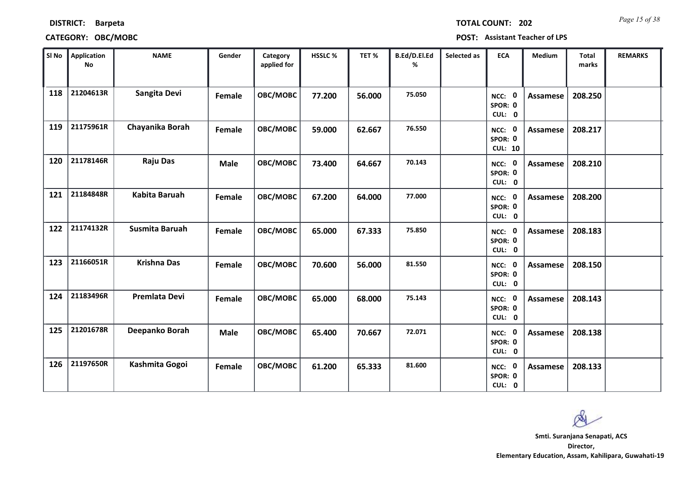| DISTRICT: Barpeta |  |
|-------------------|--|
|                   |  |

*Page 15 of 38* **TOTAL COUNT: 202**

| SI No | Application<br>No | <b>NAME</b>          | Gender      | Category<br>applied for | <b>HSSLC %</b> | TET %  | B.Ed/D.El.Ed<br>% | Selected as | <b>ECA</b>                                | <b>Medium</b>   | <b>Total</b><br>marks | <b>REMARKS</b> |
|-------|-------------------|----------------------|-------------|-------------------------|----------------|--------|-------------------|-------------|-------------------------------------------|-----------------|-----------------------|----------------|
| 118   | 21204613R         | Sangita Devi         | Female      | OBC/MOBC                | 77.200         | 56.000 | 75.050            |             | NCC: 0<br>SPOR: 0<br>CUL: 0               | <b>Assamese</b> | 208.250               |                |
| 119   | 21175961R         | Chayanika Borah      | Female      | OBC/MOBC                | 59.000         | 62.667 | 76.550            |             | NCC: 0<br>SPOR: 0<br><b>CUL: 10</b>       | <b>Assamese</b> | 208.217               |                |
| 120   | 21178146R         | <b>Raju Das</b>      | <b>Male</b> | OBC/MOBC                | 73.400         | 64.667 | 70.143            |             | NCC: 0<br>SPOR: 0<br>CUL: 0               | <b>Assamese</b> | 208.210               |                |
| 121   | 21184848R         | <b>Kabita Baruah</b> | Female      | OBC/MOBC                | 67.200         | 64.000 | 77.000            |             | $\mathbf{0}$<br>NCC:<br>SPOR: 0<br>CUL: 0 | <b>Assamese</b> | 208.200               |                |
| 122   | 21174132R         | Susmita Baruah       | Female      | OBC/MOBC                | 65.000         | 67.333 | 75.850            |             | NCC: 0<br>SPOR: 0<br>CUL: 0               | Assamese        | 208.183               |                |
| 123   | 21166051R         | <b>Krishna Das</b>   | Female      | OBC/MOBC                | 70.600         | 56.000 | 81.550            |             | NCC: 0<br>SPOR: 0<br>CUL: 0               | <b>Assamese</b> | 208.150               |                |
| 124   | 21183496R         | Premlata Devi        | Female      | OBC/MOBC                | 65.000         | 68.000 | 75.143            |             | NCC: 0<br>SPOR: 0<br>CUL: 0               | <b>Assamese</b> | 208.143               |                |
| 125   | 21201678R         | Deepanko Borah       | <b>Male</b> | OBC/MOBC                | 65.400         | 70.667 | 72.071            |             | NCC: 0<br>SPOR: 0<br>CUL: 0               | <b>Assamese</b> | 208.138               |                |
| 126   | 21197650R         | Kashmita Gogoi       | Female      | OBC/MOBC                | 61.200         | 65.333 | 81.600            |             | NCC: 0<br>SPOR: 0<br>CUL: 0               | <b>Assamese</b> | 208.133               |                |

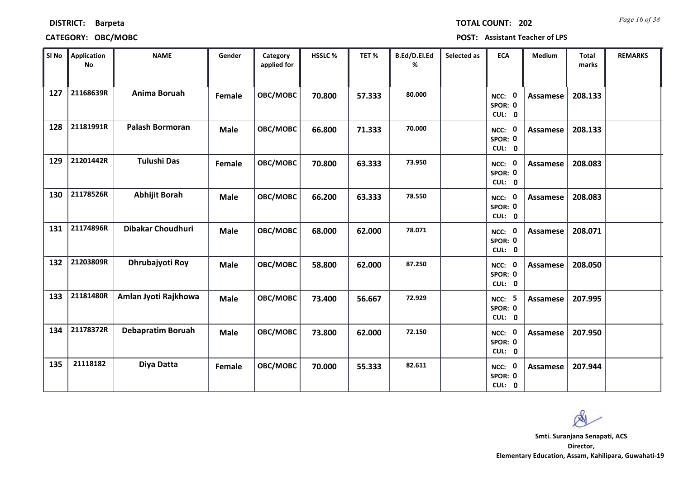| SI No | Application<br><b>No</b> | <b>NAME</b>              | Gender      | Category<br>applied for | HSSLC% | TET%   | B.Ed/D.El.Ed<br>% | Selected as | <b>ECA</b>                         | Medium   | <b>Total</b><br>marks | <b>REMARKS</b> |
|-------|--------------------------|--------------------------|-------------|-------------------------|--------|--------|-------------------|-------------|------------------------------------|----------|-----------------------|----------------|
| 127   | 21168639R                | Anima Boruah             | Female      | OBC/MOBC                | 70.800 | 57.333 | 80.000            |             | NCC: 0<br>SPOR: 0<br>CUL: 0        | Assamese | 208.133               |                |
| 128   | 21181991R                | <b>Palash Bormoran</b>   | <b>Male</b> | OBC/MOBC                | 66.800 | 71.333 | 70.000            |             | NCC: 0<br>SPOR: 0<br>CUL: 0        | Assamese | 208.133               |                |
| 129   | 21201442R                | <b>Tulushi Das</b>       | Female      | OBC/MOBC                | 70.800 | 63.333 | 73.950            |             | NCC: 0<br>SPOR: 0<br>CUL: 0        | Assamese | 208.083               |                |
| 130   | 21178526R                | <b>Abhijit Borah</b>     | <b>Male</b> | OBC/MOBC                | 66.200 | 63.333 | 78.550            |             | NCC: 0<br>SPOR: 0<br>CUL: 0        | Assamese | 208.083               |                |
| 131   | 21174896R                | Dibakar Choudhuri        | <b>Male</b> | OBC/MOBC                | 68.000 | 62.000 | 78.071            |             | NCC: 0<br>SPOR: 0<br>CUL: 0        | Assamese | 208.071               |                |
| 132   | 21203809R                | Dhrubajyoti Roy          | <b>Male</b> | OBC/MOBC                | 58.800 | 62.000 | 87.250            |             | NCC: 0<br>SPOR: 0<br>CUL: 0        | Assamese | 208.050               |                |
| 133   | 21181480R                | Amlan Jyoti Rajkhowa     | <b>Male</b> | OBC/MOBC                | 73.400 | 56.667 | 72.929            |             | <b>NCC: 5</b><br>SPOR: 0<br>CUL: 0 | Assamese | 207.995               |                |
| 134   | 21178372R                | <b>Debapratim Boruah</b> | <b>Male</b> | OBC/MOBC                | 73.800 | 62.000 | 72.150            |             | NCC: 0<br>SPOR: 0<br>CUL: 0        | Assamese | 207.950               |                |
| 135   | 21118182                 | Diya Datta               | Female      | OBC/MOBC                | 70.000 | 55.333 | 82.611            |             | NCC: 0<br>SPOR: 0                  | Assamese | 207.944               |                |

## **CATEGORY: OBC/MOBC POST: Assistant Teacher of LPS**

**0 CUL:**



**Director, Elementary Education, Assam, Kahilipara, Guwahati-19 Smti. Suranjana Senapati, ACS**

*Page 16 of 38* **TOTAL COUNT: 202**

**DISTRICT: Barpeta**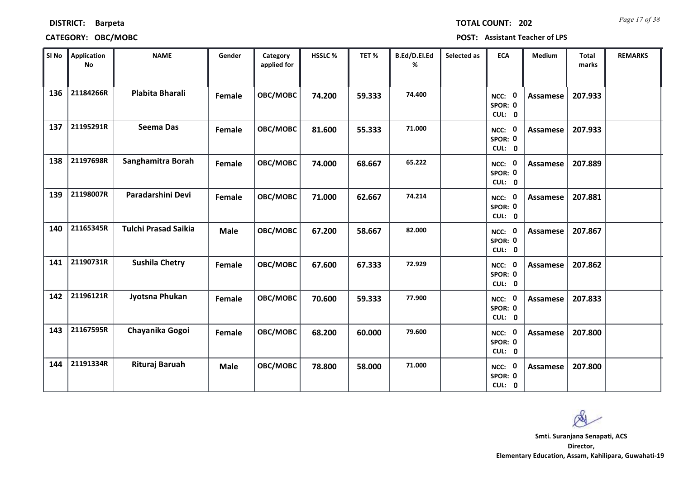| <b>DISTRICT:</b> |                |  |
|------------------|----------------|--|
|                  | <b>Barpeta</b> |  |

## **CATEGORY: OBC/MOBC POST: Assistant Teacher of LPS**

*Page 17 of 38* **TOTAL COUNT: 202**

| SI No | <b>Application</b><br><b>No</b> | <b>NAME</b>                 | Gender      | Category<br>applied for | HSSLC % | TET %  | B.Ed/D.El.Ed<br>% | Selected as | <b>ECA</b>                  | <b>Medium</b>   | <b>Total</b><br>marks | <b>REMARKS</b> |
|-------|---------------------------------|-----------------------------|-------------|-------------------------|---------|--------|-------------------|-------------|-----------------------------|-----------------|-----------------------|----------------|
| 136   | 21184266R                       | Plabita Bharali             | Female      | OBC/MOBC                | 74.200  | 59.333 | 74.400            |             | NCC: 0<br>SPOR: 0<br>CUL: 0 | Assamese        | 207.933               |                |
| 137   | 21195291R                       | <b>Seema Das</b>            | Female      | OBC/MOBC                | 81.600  | 55.333 | 71.000            |             | NCC: 0<br>SPOR: 0<br>CUL: 0 | Assamese        | 207.933               |                |
| 138   | 21197698R                       | Sanghamitra Borah           | Female      | OBC/MOBC                | 74.000  | 68.667 | 65.222            |             | NCC: 0<br>SPOR: 0<br>CUL: 0 | <b>Assamese</b> | 207.889               |                |
| 139   | 21198007R                       | Paradarshini Devi           | Female      | OBC/MOBC                | 71.000  | 62.667 | 74.214            |             | NCC: 0<br>SPOR: 0<br>CUL: 0 | Assamese        | 207.881               |                |
| 140   | 21165345R                       | <b>Tulchi Prasad Saikia</b> | <b>Male</b> | OBC/MOBC                | 67.200  | 58.667 | 82.000            |             | NCC: 0<br>SPOR: 0<br>CUL: 0 | <b>Assamese</b> | 207.867               |                |
| 141   | 21190731R                       | <b>Sushila Chetry</b>       | Female      | OBC/MOBC                | 67.600  | 67.333 | 72.929            |             | NCC: 0<br>SPOR: 0<br>CUL: 0 | Assamese        | 207.862               |                |
| 142   | 21196121R                       | Jyotsna Phukan              | Female      | OBC/MOBC                | 70.600  | 59.333 | 77.900            |             | NCC: 0<br>SPOR: 0<br>CUL: 0 | Assamese        | 207.833               |                |
| 143   | 21167595R                       | Chayanika Gogoi             | Female      | OBC/MOBC                | 68.200  | 60.000 | 79.600            |             | NCC: 0<br>SPOR: 0<br>CUL: 0 | <b>Assamese</b> | 207.800               |                |
| 144   | 21191334R                       | Rituraj Baruah              | <b>Male</b> | OBC/MOBC                | 78.800  | 58.000 | 71.000            |             | NCC: 0<br>SPOR: 0<br>CUL: 0 | Assamese        | 207.800               |                |

Ø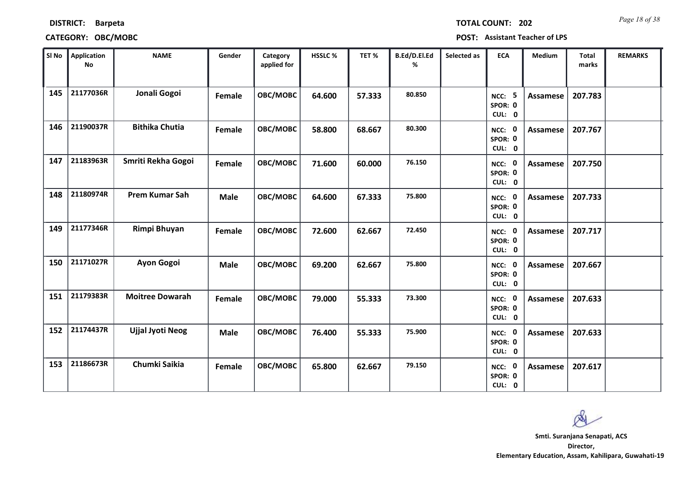| <b>DISTRICT:</b> | <b>Barpeta</b> |
|------------------|----------------|
|------------------|----------------|

# **CATEGORY: OBC/MOBC POST: Assistant Teacher of LPS**

*Page 18 of 38* **TOTAL COUNT: 202**

| SI No | <b>Application</b><br>No | <b>NAME</b>             | Gender      | Category<br>applied for | <b>HSSLC %</b> | TET%   | B.Ed/D.El.Ed<br>% | Selected as | <b>ECA</b>                         | <b>Medium</b>   | <b>Total</b><br>marks | <b>REMARKS</b> |
|-------|--------------------------|-------------------------|-------------|-------------------------|----------------|--------|-------------------|-------------|------------------------------------|-----------------|-----------------------|----------------|
| 145   | 21177036R                | Jonali Gogoi            | Female      | OBC/MOBC                | 64.600         | 57.333 | 80.850            |             | 5<br>NCC:<br>SPOR: 0<br>CUL: 0     | <b>Assamese</b> | 207.783               |                |
| 146   | 21190037R                | <b>Bithika Chutia</b>   | Female      | OBC/MOBC                | 58.800         | 68.667 | 80.300            |             | NCC: 0<br>SPOR: 0<br>CUL: 0        | Assamese        | 207.767               |                |
| 147   | 21183963R                | Smriti Rekha Gogoi      | Female      | OBC/MOBC                | 71.600         | 60.000 | 76.150            |             | <b>NCC: 0</b><br>SPOR: 0<br>CUL: 0 | <b>Assamese</b> | 207.750               |                |
| 148   | 21180974R                | <b>Prem Kumar Sah</b>   | Male        | OBC/MOBC                | 64.600         | 67.333 | 75.800            |             | NCC: 0<br>SPOR: 0<br>CUL: 0        | <b>Assamese</b> | 207.733               |                |
| 149   | 21177346R                | Rimpi Bhuyan            | Female      | OBC/MOBC                | 72.600         | 62.667 | 72.450            |             | NCC: 0<br>SPOR: 0<br>CUL: 0        | Assamese        | 207.717               |                |
| 150   | 21171027R                | Ayon Gogoi              | <b>Male</b> | OBC/MOBC                | 69.200         | 62.667 | 75.800            |             | NCC: 0<br>SPOR: 0<br>CUL: 0        | <b>Assamese</b> | 207.667               |                |
| 151   | 21179383R                | <b>Moitree Dowarah</b>  | Female      | OBC/MOBC                | 79.000         | 55.333 | 73.300            |             | NCC: 0<br>SPOR: 0<br>CUL: 0        | <b>Assamese</b> | 207.633               |                |
| 152   | 21174437R                | <b>Ujjal Jyoti Neog</b> | <b>Male</b> | OBC/MOBC                | 76.400         | 55.333 | 75.900            |             | NCC: 0<br>SPOR: 0<br>CUL: 0        | <b>Assamese</b> | 207.633               |                |
| 153   | 21186673R                | Chumki Saikia           | Female      | OBC/MOBC                | 65.800         | 62.667 | 79.150            |             | NCC: 0<br>SPOR: 0<br>CUL: 0        | <b>Assamese</b> | 207.617               |                |

 $\infty$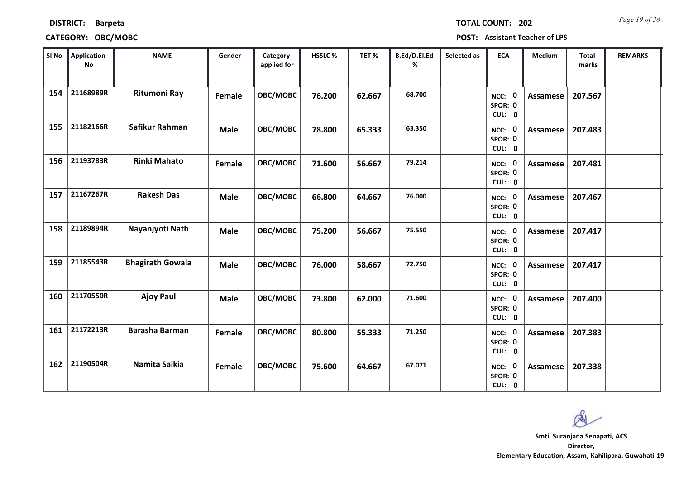| <b>TOTAL COUNT: 20</b> |  |  |  |
|------------------------|--|--|--|
|                        |  |  |  |

| SI No | <b>Application</b><br><b>No</b> | <b>NAME</b>             | Gender      | Category<br>applied for | HSSLC % | TET %  | B.Ed/D.El.Ed<br>% | Selected as | <b>ECA</b>                               | <b>Medium</b>   | <b>Total</b><br>marks | <b>REMARKS</b> |
|-------|---------------------------------|-------------------------|-------------|-------------------------|---------|--------|-------------------|-------------|------------------------------------------|-----------------|-----------------------|----------------|
| 154   | 21168989R                       | <b>Ritumoni Ray</b>     | Female      | OBC/MOBC                | 76.200  | 62.667 | 68.700            |             | $\mathbf 0$<br>NCC:<br>SPOR: 0<br>CUL: 0 | <b>Assamese</b> | 207.567               |                |
| 155   | 21182166R                       | Safikur Rahman          | <b>Male</b> | OBC/MOBC                | 78.800  | 65.333 | 63.350            |             | NCC: 0<br>SPOR: 0<br>CUL: 0              | <b>Assamese</b> | 207.483               |                |
| 156   | 21193783R                       | <b>Rinki Mahato</b>     | Female      | OBC/MOBC                | 71.600  | 56.667 | 79.214            |             | NCC: 0<br>SPOR: 0<br>CUL: 0              | <b>Assamese</b> | 207.481               |                |
| 157   | 21167267R                       | <b>Rakesh Das</b>       | <b>Male</b> | OBC/MOBC                | 66.800  | 64.667 | 76.000            |             | $\mathbf 0$<br>NCC:<br>SPOR: 0<br>CUL: 0 | <b>Assamese</b> | 207.467               |                |
| 158   | 21189894R                       | Nayanjyoti Nath         | <b>Male</b> | OBC/MOBC                | 75.200  | 56.667 | 75.550            |             | NCC: 0<br>SPOR: 0<br>CUL: 0              | Assamese        | 207.417               |                |
| 159   | 21185543R                       | <b>Bhagirath Gowala</b> | <b>Male</b> | OBC/MOBC                | 76.000  | 58.667 | 72.750            |             | NCC: 0<br>SPOR: 0<br>CUL: 0              | Assamese        | 207.417               |                |
| 160   | 21170550R                       | <b>Ajoy Paul</b>        | <b>Male</b> | <b>OBC/MOBC</b>         | 73.800  | 62.000 | 71.600            |             | NCC: 0<br>SPOR: 0<br>CUL: 0              | <b>Assamese</b> | 207.400               |                |
| 161   | 21172213R                       | <b>Barasha Barman</b>   | Female      | OBC/MOBC                | 80.800  | 55.333 | 71.250            |             | NCC: 0<br>SPOR: 0<br>CUL: 0              | <b>Assamese</b> | 207.383               |                |
| 162   | 21190504R                       | Namita Saikia           | Female      | OBC/MOBC                | 75.600  | 64.667 | 67.071            |             | 0<br>NCC:<br>SPOR: 0<br>CUL: 0           | Assamese        | 207.338               |                |

 $\infty$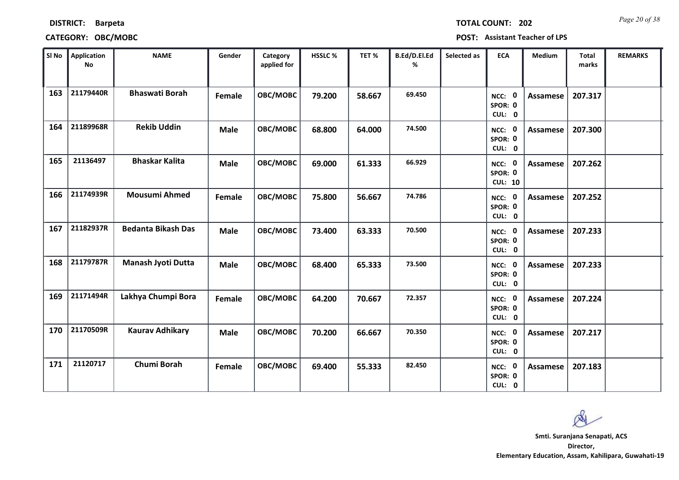| SI No | Application<br><b>No</b> | <b>NAME</b>               | Gender      | Category<br>applied for | HSSLC% | TET%   | B.Ed/D.El.Ed<br>% | Selected as | <b>ECA</b>                                       | Medium          | Total<br>marks | <b>REMARKS</b> |
|-------|--------------------------|---------------------------|-------------|-------------------------|--------|--------|-------------------|-------------|--------------------------------------------------|-----------------|----------------|----------------|
| 163   | 21179440R                | <b>Bhaswati Borah</b>     | Female      | OBC/MOBC                | 79.200 | 58.667 | 69.450            |             | $\mathbf 0$<br>NCC:<br>SPOR: 0<br>CUL: 0         | Assamese        | 207.317        |                |
| 164   | 21189968R                | <b>Rekib Uddin</b>        | <b>Male</b> | OBC/MOBC                | 68.800 | 64.000 | 74.500            |             | NCC: 0<br>SPOR: 0<br>CUL: 0                      | <b>Assamese</b> | 207.300        |                |
| 165   | 21136497                 | <b>Bhaskar Kalita</b>     | <b>Male</b> | OBC/MOBC                | 69.000 | 61.333 | 66.929            |             | $\mathbf 0$<br>NCC:<br>SPOR: 0<br><b>CUL: 10</b> | Assamese        | 207.262        |                |
| 166   | 21174939R                | <b>Mousumi Ahmed</b>      | Female      | OBC/MOBC                | 75.800 | 56.667 | 74.786            |             | $\mathbf 0$<br>NCC:<br>SPOR: 0<br>CUL: 0         | <b>Assamese</b> | 207.252        |                |
| 167   | 21182937R                | <b>Bedanta Bikash Das</b> | <b>Male</b> | OBC/MOBC                | 73.400 | 63.333 | 70.500            |             | $\mathbf 0$<br>NCC:<br>SPOR: 0<br>CUL: 0         | <b>Assamese</b> | 207.233        |                |
| 168   | 21179787R                | Manash Jyoti Dutta        | <b>Male</b> | OBC/MOBC                | 68.400 | 65.333 | 73.500            |             | $\mathbf 0$<br>NCC:<br>SPOR: 0<br>CUL: 0         | <b>Assamese</b> | 207.233        |                |
| 169   | 21171494R                | Lakhya Chumpi Bora        | Female      | OBC/MOBC                | 64.200 | 70.667 | 72.357            |             | $\mathbf 0$<br>NCC:<br>SPOR: 0<br>CUL: 0         | <b>Assamese</b> | 207.224        |                |
| 170   | 21170509R                | <b>Kaurav Adhikary</b>    | <b>Male</b> | OBC/MOBC                | 70.200 | 66.667 | 70.350            |             | $\mathbf 0$<br>NCC:<br>SPOR: 0<br>CUL: 0         | <b>Assamese</b> | 207.217        |                |
| 171   | 21120717                 | Chumi Borah               | Female      | OBC/MOBC                | 69.400 | 55.333 | 82.450            |             | NCC:<br>$\mathbf 0$<br>SPOR: 0<br>CUL: 0         | Assamese        | 207.183        |                |

## **CATEGORY: OBC/MOBC POST: Assistant Teacher of LPS**

*Page 20 of 38* **TOTAL COUNT: 202**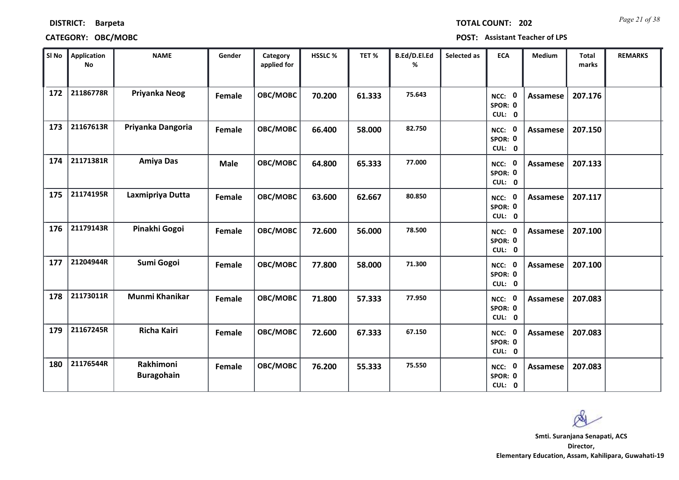|  | <b>TOTAL COUNT:</b> |  |  |  |
|--|---------------------|--|--|--|
|  |                     |  |  |  |

## **CATEGORY: OBC/MOBC POST: Assistant Teacher of LPS**

| SI No | <b>Application</b><br><b>No</b> | <b>NAME</b>                    | Gender      | Category<br>applied for | HSSLC % | TET %  | B.Ed/D.El.Ed<br>% | Selected as | <b>ECA</b>                               | <b>Medium</b>   | <b>Total</b><br>marks | <b>REMARKS</b> |
|-------|---------------------------------|--------------------------------|-------------|-------------------------|---------|--------|-------------------|-------------|------------------------------------------|-----------------|-----------------------|----------------|
| 172   | 21186778R                       | Priyanka Neog                  | Female      | OBC/MOBC                | 70.200  | 61.333 | 75.643            |             | 0<br>NCC:<br>SPOR: 0<br>CUL: 0           | <b>Assamese</b> | 207.176               |                |
| 173   | 21167613R                       | Priyanka Dangoria              | Female      | OBC/MOBC                | 66.400  | 58.000 | 82.750            |             | NCC: 0<br>SPOR: 0<br>CUL: 0              | <b>Assamese</b> | 207.150               |                |
| 174   | 21171381R                       | <b>Amiya Das</b>               | <b>Male</b> | OBC/MOBC                | 64.800  | 65.333 | 77.000            |             | NCC: 0<br>SPOR: 0<br>CUL: 0              | <b>Assamese</b> | 207.133               |                |
| 175   | 21174195R                       | Laxmipriya Dutta               | Female      | OBC/MOBC                | 63.600  | 62.667 | 80.850            |             | 0<br>NCC:<br>SPOR: 0<br>CUL: 0           | <b>Assamese</b> | 207.117               |                |
| 176   | 21179143R                       | Pinakhi Gogoi                  | Female      | OBC/MOBC                | 72.600  | 56.000 | 78.500            |             | NCC: 0<br>SPOR: 0<br>CUL: 0              | <b>Assamese</b> | 207.100               |                |
| 177   | 21204944R                       | Sumi Gogoi                     | Female      | OBC/MOBC                | 77.800  | 58.000 | 71.300            |             | $\mathbf 0$<br>NCC:<br>SPOR: 0<br>CUL: 0 | <b>Assamese</b> | 207.100               |                |
| 178   | 21173011R                       | <b>Munmi Khanikar</b>          | Female      | OBC/MOBC                | 71.800  | 57.333 | 77.950            |             | 0<br>NCC:<br>SPOR: 0<br>CUL: 0           | <b>Assamese</b> | 207.083               |                |
| 179   | 21167245R                       | <b>Richa Kairi</b>             | Female      | OBC/MOBC                | 72.600  | 67.333 | 67.150            |             | NCC: 0<br>SPOR: 0<br>CUL: 0              | <b>Assamese</b> | 207.083               |                |
| 180   | 21176544R                       | Rakhimoni<br><b>Buragohain</b> | Female      | OBC/MOBC                | 76.200  | 55.333 | 75.550            |             | 0<br>NCC:<br>SPOR: 0<br>CUL: 0           | Assamese        | 207.083               |                |

**202** *Page 21 of 38*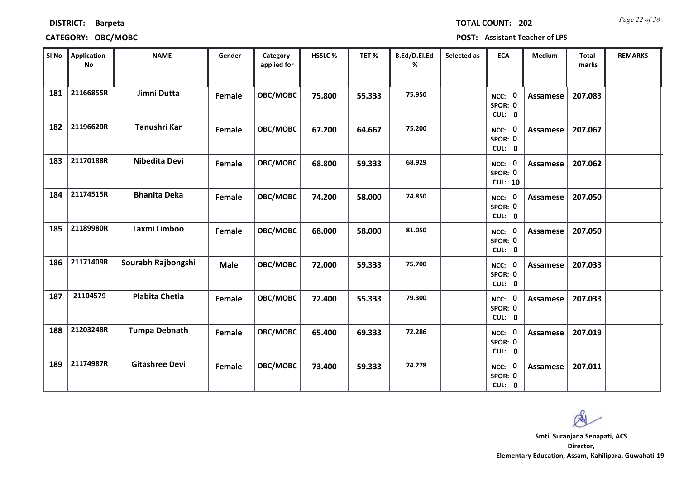| SI No | Application<br>No | <b>NAME</b>           | Gender        | Category<br>applied for | HSSLC% | TET %  | B.Ed/D.El.Ed<br>% | Selected as | <b>ECA</b>                          | Medium          | <b>Total</b><br>marks | <b>REMARKS</b> |
|-------|-------------------|-----------------------|---------------|-------------------------|--------|--------|-------------------|-------------|-------------------------------------|-----------------|-----------------------|----------------|
| 181   | 21166855R         | Jimni Dutta           | Female        | OBC/MOBC                | 75.800 | 55.333 | 75.950            |             | NCC: 0<br>SPOR: 0<br>CUL: 0         | <b>Assamese</b> | 207.083               |                |
| 182   | 21196620R         | Tanushri Kar          | <b>Female</b> | OBC/MOBC                | 67.200 | 64.667 | 75.200            |             | NCC: 0<br>SPOR: 0<br>CUL: 0         | <b>Assamese</b> | 207.067               |                |
| 183   | 21170188R         | Nibedita Devi         | Female        | OBC/MOBC                | 68.800 | 59.333 | 68.929            |             | NCC: 0<br>SPOR: 0<br><b>CUL: 10</b> | Assamese        | 207.062               |                |
| 184   | 21174515R         | <b>Bhanita Deka</b>   | Female        | OBC/MOBC                | 74.200 | 58.000 | 74.850            |             | NCC: 0<br>SPOR: 0<br>CUL: 0         | <b>Assamese</b> | 207.050               |                |
| 185   | 21189980R         | Laxmi Limboo          | Female        | OBC/MOBC                | 68.000 | 58.000 | 81.050            |             | NCC: 0<br>SPOR: 0<br>CUL: 0         | Assamese        | 207.050               |                |
| 186   | 21171409R         | Sourabh Rajbongshi    | <b>Male</b>   | OBC/MOBC                | 72.000 | 59.333 | 75.700            |             | NCC: 0<br>SPOR: 0<br>CUL: 0         | Assamese        | 207.033               |                |
| 187   | 21104579          | <b>Plabita Chetia</b> | <b>Female</b> | OBC/MOBC                | 72.400 | 55.333 | 79.300            |             | NCC: 0<br>SPOR: 0<br>CUL: 0         | Assamese        | 207.033               |                |
| 188   | 21203248R         | <b>Tumpa Debnath</b>  | Female        | OBC/MOBC                | 65.400 | 69.333 | 72.286            |             | NCC: 0<br>SPOR: 0<br>CUL: 0         | Assamese        | 207.019               |                |
| 189   | 21174987R         | <b>Gitashree Devi</b> | Female        | OBC/MOBC                | 73.400 | 59.333 | 74.278            |             | NCC: 0<br>SPOR: 0<br>CUL: 0         | Assamese        | 207.011               |                |

# **DISTRICT: Barpeta**

## **CATEGORY: OBC/MOBC POST: Assistant Teacher of LPS**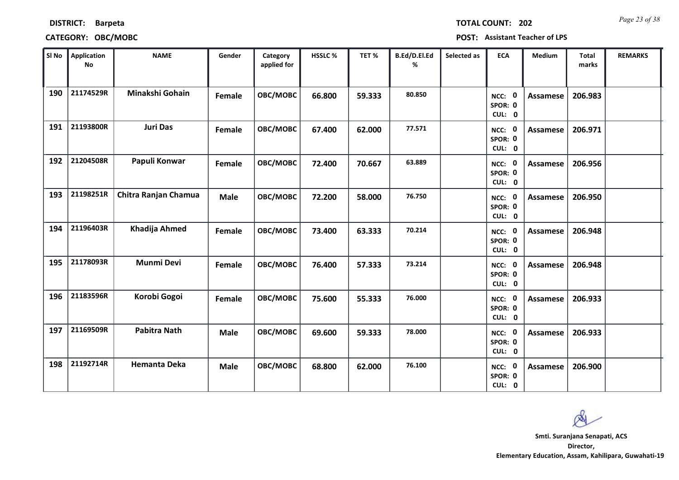## **DISTRICT: Barpeta**

# **CATEGORY: OBC/MOBC POST: Assistant Teacher of LPS**

*Page 23 of 38* **TOTAL COUNT: 202**

|            |        |        |        | SPOR: 0<br>CUL: 0           |          |                                                                                                    |  |
|------------|--------|--------|--------|-----------------------------|----------|----------------------------------------------------------------------------------------------------|--|
| <b>DBC</b> | 69.600 | 59.333 | 78.000 | NCC: 0<br>SPOR: 0<br>CUL: 0 | Assamese | 206.933                                                                                            |  |
| DВC        | 68.800 | 62.000 | 76.100 | NCC: 0<br>SPOR: 0<br>CUL: 0 | Assamese | 206.900                                                                                            |  |
|            |        |        |        |                             |          |                                                                                                    |  |
|            |        |        |        |                             |          | Smti. Suranjana Senapati, ACS<br>Director,<br>Elementary Education, Assam, Kahilipara, Guwahati-19 |  |
|            |        |        |        |                             |          |                                                                                                    |  |

| <b>Application</b><br>No | <b>NAME</b>          | Gender      | Category<br>applied for | HSSLC % | TET %  | B.Ed/D.El.Ed<br>% | Selected as | <b>ECA</b>                  | Medium          | <b>Total</b><br>marks | <b>REMARKS</b> |
|--------------------------|----------------------|-------------|-------------------------|---------|--------|-------------------|-------------|-----------------------------|-----------------|-----------------------|----------------|
| 21174529R                | Minakshi Gohain      | Female      | <b>OBC/MOBC</b>         | 66.800  | 59.333 | 80.850            |             | NCC: 0<br>SPOR: 0<br>CUL: 0 | <b>Assamese</b> | 206.983               |                |
| 21193800R                | <b>Juri Das</b>      | Female      | OBC/MOBC                | 67.400  | 62.000 | 77.571            |             | NCC: 0<br>SPOR: 0<br>CUL: 0 | <b>Assamese</b> | 206.971               |                |
| 21204508R                | Papuli Konwar        | Female      | <b>OBC/MOBC</b>         | 72.400  | 70.667 | 63.889            |             | NCC: 0<br>SPOR: 0<br>CUL: 0 | Assamese        | 206.956               |                |
| 21198251R                | Chitra Ranjan Chamua | <b>Male</b> | OBC/MOBC                | 72.200  | 58.000 | 76.750            |             | NCC: 0<br>SPOR: 0<br>CUL: 0 | Assamese        | 206.950               |                |
| 21196403R                | Khadija Ahmed        | Female      | <b>OBC/MOBC</b>         | 73.400  | 63.333 | 70.214            |             | NCC: 0<br>SPOR: 0<br>CUL: 0 | <b>Assamese</b> | 206.948               |                |
| 21178093R                | <b>Munmi Devi</b>    | Female      | OBC/MOBC                | 76.400  | 57.333 | 73.214            |             | NCC: 0<br>SPOR: 0<br>CUL: 0 | <b>Assamese</b> | 206.948               |                |
| 21183596R                | Korobi Gogoi         | Female      | OBC/MOBC                | 75.600  | 55.333 | 76.000            |             | NCC: 0<br>SPOR: 0<br>CUL: 0 | <b>Assamese</b> | 206.933               |                |
| 21169509R                | <b>Pabitra Nath</b>  | <b>Male</b> | OBC/MOBC                | 69.600  | 59.333 | 78.000            |             | NCC: 0<br>SPOR: 0<br>CUL: 0 | <b>Assamese</b> | 206.933               |                |
| 21192714R                | <b>Hemanta Deka</b>  | <b>Male</b> | OBC/MOBC                | 68.800  | 62.000 | 76.100            |             | NCC: 0<br>SPOR: 0<br>CUL: 0 | Assamese        | 206.900               |                |
|                          |                      |             |                         |         |        |                   |             |                             |                 |                       |                |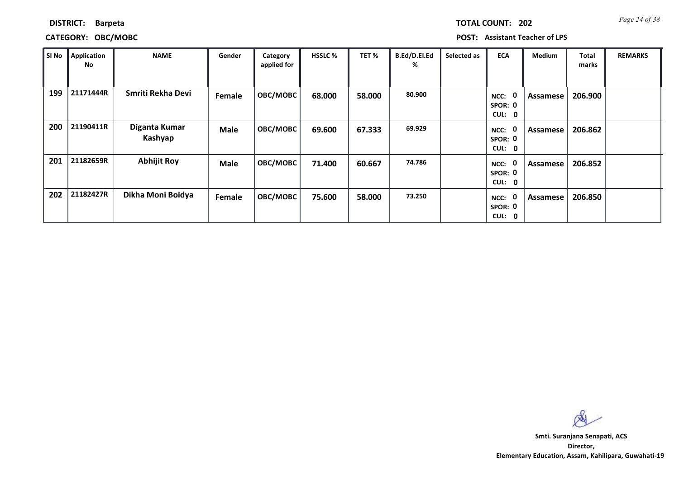| <b>TOTAL COUNT: 202</b> |  | Page 24 of 38 |
|-------------------------|--|---------------|
|-------------------------|--|---------------|

## **CATEGORY: OBC/MOBC POST: Assistant Teacher of LPS**

| SI No | Application<br>No | <b>NAME</b>              | Gender      | Category<br>applied for | <b>HSSLC %</b> | TET %  | B.Ed/D.El.Ed<br>% | Selected as | <b>ECA</b>                                  | <b>Medium</b> | <b>Total</b><br>marks | <b>REMARKS</b> |
|-------|-------------------|--------------------------|-------------|-------------------------|----------------|--------|-------------------|-------------|---------------------------------------------|---------------|-----------------------|----------------|
| 199   | 21171444R         | Smriti Rekha Devi        | Female      | OBC/MOBC                | 68.000         | 58.000 | 80.900            |             | 0<br>NCC:<br>SPOR: 0<br>CUL:<br>$\mathbf 0$ | Assamese      | 206.900               |                |
| 200   | 21190411R         | Diganta Kumar<br>Kashyap | <b>Male</b> | OBC/MOBC                | 69.600         | 67.333 | 69.929            |             | 0<br>NCC:<br>SPOR: 0<br>CUL:<br>0           | Assamese      | 206.862               |                |
| 201   | 21182659R         | <b>Abhijit Roy</b>       | <b>Male</b> | <b>OBC/MOBC</b>         | 71.400         | 60.667 | 74.786            |             | 0<br>NCC:<br>SPOR: 0<br>CUL: 0              | Assamese      | 206.852               |                |
| 202   | 21182427R         | Dikha Moni Boidya        | Female      | <b>OBC/MOBC</b>         | 75.600         | 58.000 | 73.250            |             | 0<br>NCC:<br>SPOR: 0<br>CUL: 0              | Assamese      | 206.850               |                |

 $\infty$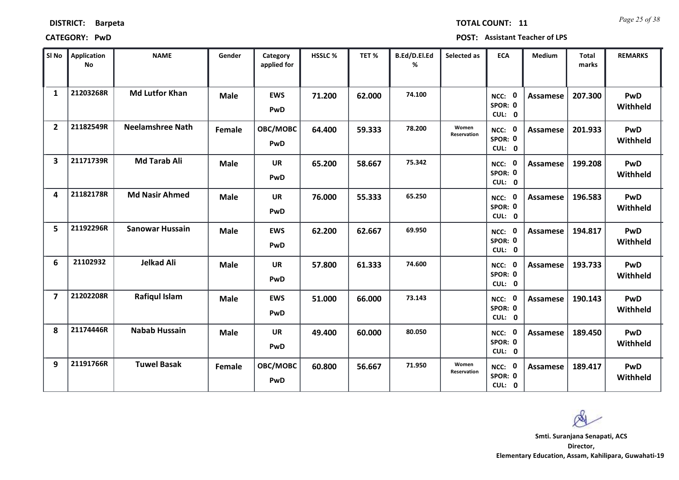| <b>DISTRICT:</b> | <b>Barpeta</b> |
|------------------|----------------|
|------------------|----------------|

*Page 25 of 38* **TOTAL COUNT: 11**

**CATEGORY: PwD POST: Assistant Teacher of LPS**

| SI No                   | <b>Application</b><br>No | <b>NAME</b>             | Gender      | Category<br>applied for | <b>HSSLC %</b> | TET %  | B.Ed/D.El.Ed<br>% | Selected as          | <b>ECA</b>                     | <b>Medium</b>   | <b>Total</b><br>marks | <b>REMARKS</b>         |
|-------------------------|--------------------------|-------------------------|-------------|-------------------------|----------------|--------|-------------------|----------------------|--------------------------------|-----------------|-----------------------|------------------------|
| $\mathbf{1}$            | 21203268R                | <b>Md Lutfor Khan</b>   | <b>Male</b> | <b>EWS</b><br>PwD       | 71.200         | 62.000 | 74.100            |                      | 0<br>NCC:<br>SPOR: 0<br>CUL: 0 | Assamese        | 207.300               | PwD<br>Withheld        |
| $\overline{2}$          | 21182549R                | <b>Neelamshree Nath</b> | Female      | OBC/MOBC<br><b>PwD</b>  | 64.400         | 59.333 | 78.200            | Women<br>Reservation | NCC: 0<br>SPOR: 0<br>CUL: 0    | <b>Assamese</b> | 201.933               | <b>PwD</b><br>Withheld |
| $\overline{\mathbf{3}}$ | 21171739R                | <b>Md Tarab Ali</b>     | <b>Male</b> | <b>UR</b><br>PwD        | 65.200         | 58.667 | 75.342            |                      | NCC: 0<br>SPOR: 0<br>CUL: 0    | Assamese        | 199.208               | PwD<br>Withheld        |
| $\overline{\mathbf{A}}$ | 21182178R                | <b>Md Nasir Ahmed</b>   | <b>Male</b> | UR<br>PwD               | 76.000         | 55.333 | 65.250            |                      | 0<br>NCC:<br>SPOR: 0<br>CUL: 0 | Assamese        | 196.583               | PwD<br>Withheld        |
| 5                       | 21192296R                | <b>Sanowar Hussain</b>  | <b>Male</b> | <b>EWS</b><br>PwD       | 62.200         | 62.667 | 69.950            |                      | NCC: 0<br>SPOR: 0<br>CUL: 0    | <b>Assamese</b> | 194.817               | <b>PwD</b><br>Withheld |
| 6                       | 21102932                 | <b>Jelkad Ali</b>       | <b>Male</b> | <b>UR</b><br>PwD        | 57.800         | 61.333 | 74.600            |                      | NCC: 0<br>SPOR: 0<br>CUL: 0    | Assamese        | 193.733               | <b>PwD</b><br>Withheld |
| $\overline{\mathbf{z}}$ | 21202208R                | <b>Rafiqul Islam</b>    | <b>Male</b> | <b>EWS</b><br>PwD       | 51.000         | 66.000 | 73.143            |                      | NCC: 0<br>SPOR: 0<br>CUL: 0    | <b>Assamese</b> | 190.143               | PwD<br>Withheld        |
| 8                       | 21174446R                | <b>Nabab Hussain</b>    | <b>Male</b> | <b>UR</b><br>PwD        | 49.400         | 60.000 | 80.050            |                      | 0<br>NCC:<br>SPOR: 0<br>CUL: 0 | <b>Assamese</b> | 189.450               | PwD<br>Withheld        |
| 9                       | 21191766R                | <b>Tuwel Basak</b>      | Female      | OBC/MOBC<br>PwD         | 60.800         | 56.667 | 71.950            | Women<br>Reservation | 0<br>NCC:<br>SPOR: 0<br>CUL: 0 | Assamese        | 189.417               | <b>PwD</b><br>Withheld |

 $\infty$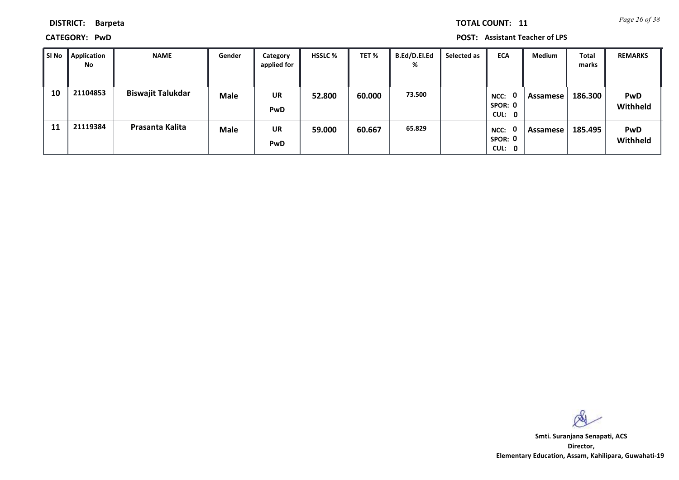*Page 26 of 38* **TOTAL COUNT: 11**

**DISTRICT: Barpeta**

**CATEGORY: PwD POST: Assistant Teacher of LPS**

| SI No | Application<br>No | <b>NAME</b>              | Gender      | Category<br>applied for | <b>HSSLC %</b> | TET %  | B.Ed/D.El.Ed<br>% | Selected as | <b>ECA</b>                     | <b>Medium</b> | Total<br>marks | <b>REMARKS</b>         |
|-------|-------------------|--------------------------|-------------|-------------------------|----------------|--------|-------------------|-------------|--------------------------------|---------------|----------------|------------------------|
| 10    | 21104853          | <b>Biswajit Talukdar</b> | <b>Male</b> | <b>UR</b><br><b>PwD</b> | 52.800         | 60.000 | 73.500            |             | 0<br>NCC:<br>SPOR: 0<br>CUL: 0 | Assamese      | 186.300        | <b>PwD</b><br>Withheld |
| 11    | 21119384          | Prasanta Kalita          | <b>Male</b> | <b>UR</b><br><b>PwD</b> | 59.000         | 60.667 | 65.829            |             | 0<br>NCC:<br>SPOR: 0<br>CUL: 0 | Assamese      | 185.495        | <b>PwD</b><br>Withheld |

 $\infty$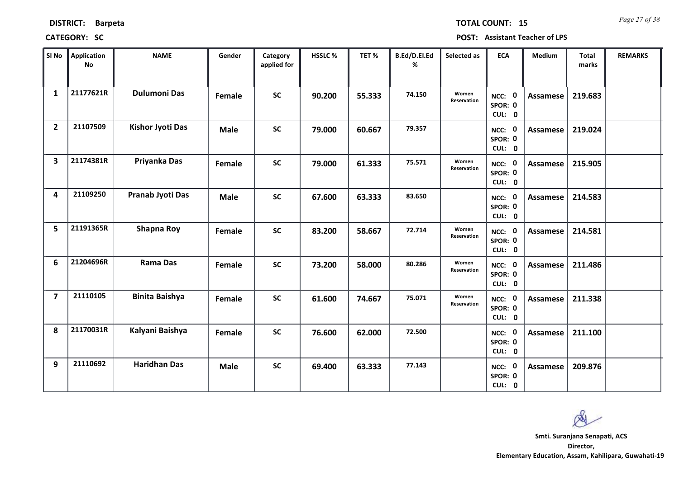| <b>DISTRICT:</b> |  | <b>Barpeta</b> |
|------------------|--|----------------|
|------------------|--|----------------|

*Page 27 of 38* **TOTAL COUNT: 15**

| SI No                   | Application<br><b>No</b> | <b>NAME</b>             | Gender      | Category<br>applied for | <b>HSSLC%</b> | TET %  | B.Ed/D.El.Ed<br>% | Selected as          | <b>ECA</b>                  | <b>Medium</b>   | <b>Total</b><br>marks | <b>REMARKS</b> |
|-------------------------|--------------------------|-------------------------|-------------|-------------------------|---------------|--------|-------------------|----------------------|-----------------------------|-----------------|-----------------------|----------------|
| $\mathbf{1}$            | 21177621R                | <b>Dulumoni Das</b>     | Female      | <b>SC</b>               | 90.200        | 55.333 | 74.150            | Women<br>Reservation | NCC: 0<br>SPOR: 0<br>CUL: 0 | Assamese        | 219.683               |                |
| $\overline{2}$          | 21107509                 | <b>Kishor Jyoti Das</b> | <b>Male</b> | <b>SC</b>               | 79.000        | 60.667 | 79.357            |                      | NCC: 0<br>SPOR: 0<br>CUL: 0 | Assamese        | 219.024               |                |
| $\overline{\mathbf{3}}$ | 21174381R                | Priyanka Das            | Female      | <b>SC</b>               | 79.000        | 61.333 | 75.571            | Women<br>Reservation | NCC: 0<br>SPOR: 0<br>CUL: 0 | <b>Assamese</b> | 215.905               |                |
| 4                       | 21109250                 | Pranab Jyoti Das        | <b>Male</b> | <b>SC</b>               | 67.600        | 63.333 | 83.650            |                      | NCC: 0<br>SPOR: 0<br>CUL: 0 | Assamese        | 214.583               |                |
| 5                       | 21191365R                | <b>Shapna Roy</b>       | Female      | <b>SC</b>               | 83.200        | 58.667 | 72.714            | Women<br>Reservation | NCC: 0<br>SPOR: 0<br>CUL: 0 | <b>Assamese</b> | 214.581               |                |
| 6                       | 21204696R                | <b>Rama Das</b>         | Female      | <b>SC</b>               | 73.200        | 58.000 | 80.286            | Women<br>Reservation | NCC: 0<br>SPOR: 0<br>CUL: 0 | <b>Assamese</b> | 211.486               |                |
| $\overline{7}$          | 21110105                 | <b>Binita Baishya</b>   | Female      | <b>SC</b>               | 61.600        | 74.667 | 75.071            | Women<br>Reservation | NCC: 0<br>SPOR: 0<br>CUL: 0 | <b>Assamese</b> | 211.338               |                |
| 8                       | 21170031R                | Kalyani Baishya         | Female      | <b>SC</b>               | 76.600        | 62.000 | 72.500            |                      | NCC: 0<br>SPOR: 0<br>CUL: 0 | Assamese        | 211.100               |                |
| 9                       | 21110692                 | <b>Haridhan Das</b>     | <b>Male</b> | <b>SC</b>               | 69.400        | 63.333 | 77.143            |                      | NCC: 0<br>SPOR: 0<br>CUL: 0 | <b>Assamese</b> | 209.876               |                |

 $\infty$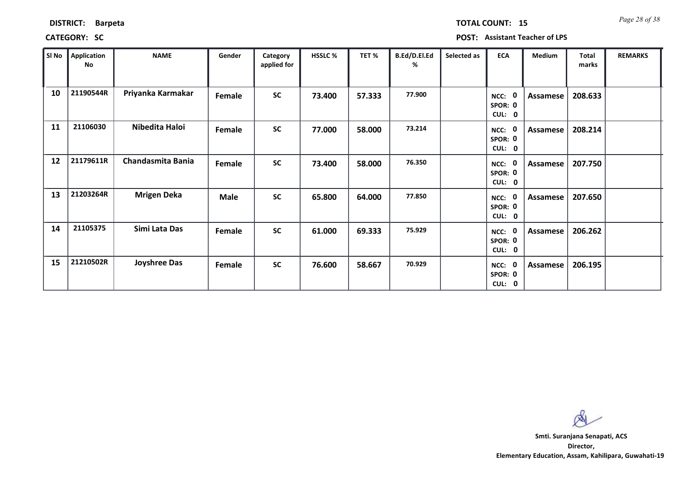| <b>DISTRICT:</b> |  | <b>Barpeta</b> |
|------------------|--|----------------|
|------------------|--|----------------|

*Page 28 of 38* **TOTAL COUNT: 15**

| SI <sub>No</sub> | <b>Application</b><br>No | <b>NAME</b>              | Gender      | Category<br>applied for | <b>HSSLC %</b> | TET %  | B.Ed/D.El.Ed<br>% | Selected as | <b>ECA</b>                       | <b>Medium</b> | <b>Total</b><br>marks | <b>REMARKS</b> |
|------------------|--------------------------|--------------------------|-------------|-------------------------|----------------|--------|-------------------|-------------|----------------------------------|---------------|-----------------------|----------------|
| 10               | 21190544R                | Priyanka Karmakar        | Female      | <b>SC</b>               | 73.400         | 57.333 | 77.900            |             | - 0<br>NCC:<br>SPOR: 0<br>CUL: 0 | Assamese      | 208.633               |                |
| 11               | 21106030                 | Nibedita Haloi           | Female      | <b>SC</b>               | 77.000         | 58.000 | 73.214            |             | NCC: 0<br>SPOR: 0<br>CUL: 0      | Assamese      | 208.214               |                |
| 12               | 21179611R                | <b>Chandasmita Bania</b> | Female      | <b>SC</b>               | 73.400         | 58.000 | 76.350            |             | - 0<br>NCC:<br>SPOR: 0<br>CUL: 0 | Assamese      | 207.750               |                |
| 13               | 21203264R                | <b>Mrigen Deka</b>       | <b>Male</b> | <b>SC</b>               | 65.800         | 64.000 | 77.850            |             | NCC:<br>SPOR: 0<br>CUL: 0        | Assamese      | 207.650               |                |
| 14               | 21105375                 | Simi Lata Das            | Female      | <b>SC</b>               | 61.000         | 69.333 | 75.929            |             | NCC: 0<br>SPOR: 0<br>CUL: 0      | Assamese      | 206.262               |                |
| 15               | 21210502R                | <b>Joyshree Das</b>      | Female      | <b>SC</b>               | 76.600         | 58.667 | 70.929            |             | NCC: 0<br>SPOR: 0<br>CUL: 0      | Assamese      | 206.195               |                |

 $\infty$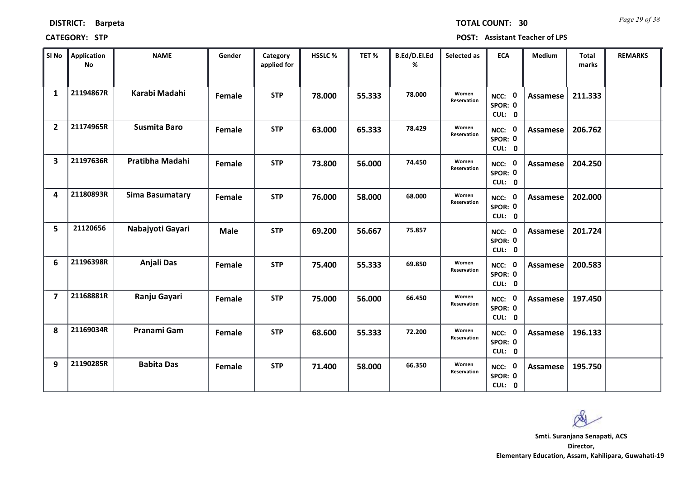| SI No          | <b>Application</b><br><b>No</b> | <b>NAME</b>            | Gender      | Category<br>applied for | HSSLC % | TET%   | B.Ed/D.El.Ed<br>% | Selected as          | <b>ECA</b>                  | Medium   | <b>Total</b><br>marks | <b>REMARKS</b> |
|----------------|---------------------------------|------------------------|-------------|-------------------------|---------|--------|-------------------|----------------------|-----------------------------|----------|-----------------------|----------------|
| $\mathbf{1}$   | 21194867R                       | Karabi Madahi          | Female      | <b>STP</b>              | 78.000  | 55.333 | 78.000            | Women<br>Reservation | NCC: 0<br>SPOR: 0<br>CUL: 0 | Assamese | 211.333               |                |
| $\overline{2}$ | 21174965R                       | <b>Susmita Baro</b>    | Female      | <b>STP</b>              | 63.000  | 65.333 | 78.429            | Women<br>Reservation | NCC: 0<br>SPOR: 0<br>CUL: 0 | Assamese | 206.762               |                |
| 3              | 21197636R                       | Pratibha Madahi        | Female      | <b>STP</b>              | 73.800  | 56.000 | 74.450            | Women<br>Reservation | NCC: 0<br>SPOR: 0<br>CUL: 0 | Assamese | 204.250               |                |
| 4              | 21180893R                       | <b>Sima Basumatary</b> | Female      | <b>STP</b>              | 76.000  | 58.000 | 68.000            | Women<br>Reservation | NCC: 0<br>SPOR: 0<br>CUL: 0 | Assamese | 202.000               |                |
| 5              | 21120656                        | Nabajyoti Gayari       | <b>Male</b> | <b>STP</b>              | 69.200  | 56.667 | 75.857            |                      | NCC: 0<br>SPOR: 0<br>CUL: 0 | Assamese | 201.724               |                |
| 6              | 21196398R                       | Anjali Das             | Female      | <b>STP</b>              | 75.400  | 55.333 | 69.850            | Women<br>Reservation | NCC: 0<br>SPOR: 0<br>CUL: 0 | Assamese | 200.583               |                |
| $\overline{7}$ | 21168881R                       | Ranju Gayari           | Female      | <b>STP</b>              | 75.000  | 56.000 | 66.450            | Women<br>Reservation | NCC: 0<br>SPOR: 0<br>CUL: 0 | Assamese | 197.450               |                |
| 8              | 21169034R                       | Pranami Gam            | Female      | <b>STP</b>              | 68.600  | 55.333 | 72.200            | Women<br>Reservation | NCC: 0<br>SPOR: 0<br>CUL: 0 | Assamese | 196.133               |                |
| 9              | 21190285R                       | <b>Babita Das</b>      | Female      | <b>STP</b>              | 71.400  | 58.000 | 66.350            | Women<br>Reservation | NCC: 0<br>SPOR: 0           | Assamese | 195.750               |                |

#### **CATEGORY: STP POST: Assistant Teacher of LPS**

*Page 29 of 38* **TOTAL COUNT: 30**

**Director, Elementary Education, Assam, Kahilipara, Guwahati-19 Smti. Suranjana Senapati, ACS**

**0**

**CUL:**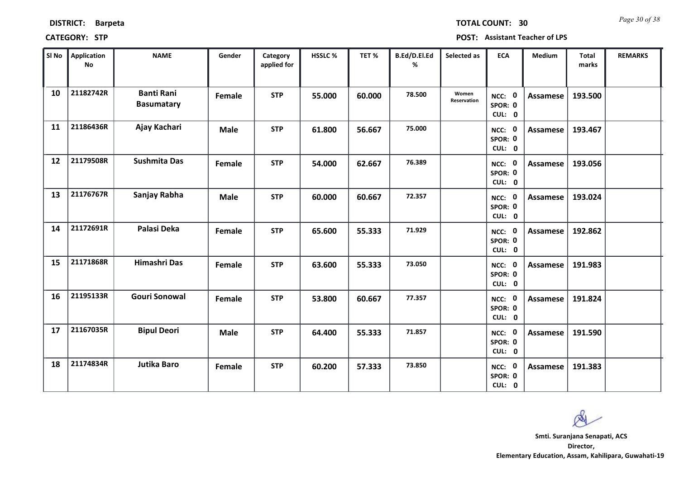*Page 30 of 38* **TOTAL COUNT: 30**

**CATEGORY: STP POST: Assistant Teacher of LPS**

| SI No | <b>Application</b><br>No | <b>NAME</b>                            | Gender      | Category<br>applied for | <b>HSSLC%</b> | TET %  | B.Ed/D.El.Ed<br>% | Selected as          | <b>ECA</b>                  | <b>Medium</b>   | <b>Total</b><br>marks | <b>REMARKS</b> |
|-------|--------------------------|----------------------------------------|-------------|-------------------------|---------------|--------|-------------------|----------------------|-----------------------------|-----------------|-----------------------|----------------|
| 10    | 21182742R                | <b>Banti Rani</b><br><b>Basumatary</b> | Female      | <b>STP</b>              | 55.000        | 60.000 | 78.500            | Women<br>Reservation | NCC: 0<br>SPOR: 0<br>CUL: 0 | <b>Assamese</b> | 193.500               |                |
| 11    | 21186436R                | Ajay Kachari                           | <b>Male</b> | <b>STP</b>              | 61.800        | 56.667 | 75.000            |                      | NCC: 0<br>SPOR: 0<br>CUL: 0 | Assamese        | 193.467               |                |
| 12    | 21179508R                | <b>Sushmita Das</b>                    | Female      | <b>STP</b>              | 54.000        | 62.667 | 76.389            |                      | NCC: 0<br>SPOR: 0<br>CUL: 0 | <b>Assamese</b> | 193.056               |                |
| 13    | 21176767R                | Sanjay Rabha                           | <b>Male</b> | <b>STP</b>              | 60.000        | 60.667 | 72.357            |                      | NCC: 0<br>SPOR: 0<br>CUL: 0 | Assamese        | 193.024               |                |
| 14    | 21172691R                | Palasi Deka                            | Female      | <b>STP</b>              | 65.600        | 55.333 | 71.929            |                      | NCC: 0<br>SPOR: 0<br>CUL: 0 | Assamese        | 192.862               |                |
| 15    | 21171868R                | Himashri Das                           | Female      | <b>STP</b>              | 63.600        | 55.333 | 73.050            |                      | NCC: 0<br>SPOR: 0<br>CUL: 0 | Assamese        | 191.983               |                |
| 16    | 21195133R                | <b>Gouri Sonowal</b>                   | Female      | <b>STP</b>              | 53.800        | 60.667 | 77.357            |                      | NCC: 0<br>SPOR: 0<br>CUL: 0 | Assamese        | 191.824               |                |
| 17    | 21167035R                | <b>Bipul Deori</b>                     | <b>Male</b> | <b>STP</b>              | 64.400        | 55.333 | 71.857            |                      | NCC: 0<br>SPOR: 0<br>CUL: 0 | <b>Assamese</b> | 191.590               |                |
| 18    | 21174834R                | <b>Jutika Baro</b>                     | Female      | <b>STP</b>              | 60.200        | 57.333 | 73.850            |                      | NCC: 0<br>SPOR: 0<br>CUL: 0 | Assamese        | 191.383               |                |

 $\infty$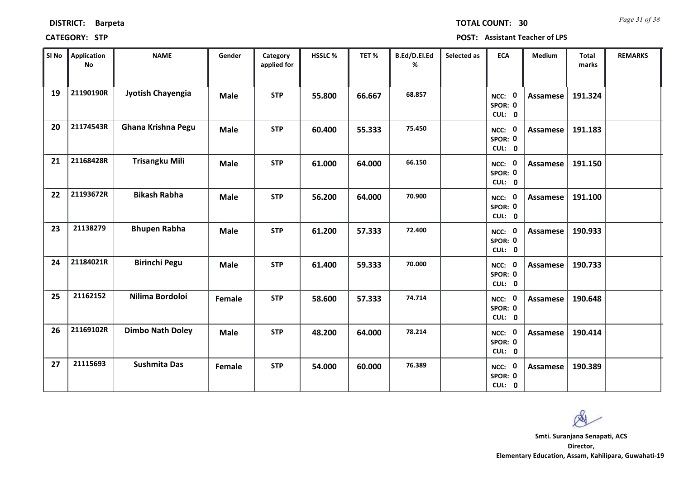| <b>DISTRICT:</b> | <b>Barpeta</b> |
|------------------|----------------|
|------------------|----------------|

*Page 31 of 38* **TOTAL COUNT: 30**

**CATEGORY: STP POST: Assistant Teacher of LPS**

| SI No | <b>Application</b><br>No | <b>NAME</b>             | Gender      | Category<br>applied for | HSSLC% | TET %  | B.Ed/D.El.Ed<br>% | Selected as | <b>ECA</b>                  | Medium          | <b>Total</b><br>marks | <b>REMARKS</b> |
|-------|--------------------------|-------------------------|-------------|-------------------------|--------|--------|-------------------|-------------|-----------------------------|-----------------|-----------------------|----------------|
| 19    | 21190190R                | Jyotish Chayengia       | <b>Male</b> | <b>STP</b>              | 55.800 | 66.667 | 68.857            |             | NCC: 0<br>SPOR: 0<br>CUL: 0 | <b>Assamese</b> | 191.324               |                |
| 20    | 21174543R                | Ghana Krishna Pegu      | <b>Male</b> | <b>STP</b>              | 60.400 | 55.333 | 75.450            |             | NCC: 0<br>SPOR: 0<br>CUL: 0 | Assamese        | 191.183               |                |
| 21    | 21168428R                | <b>Trisangku Mili</b>   | <b>Male</b> | <b>STP</b>              | 61.000 | 64.000 | 66.150            |             | NCC: 0<br>SPOR: 0<br>CUL: 0 | Assamese        | 191.150               |                |
| 22    | 21193672R                | <b>Bikash Rabha</b>     | <b>Male</b> | <b>STP</b>              | 56.200 | 64.000 | 70.900            |             | NCC: 0<br>SPOR: 0<br>CUL: 0 | <b>Assamese</b> | 191.100               |                |
| 23    | 21138279                 | <b>Bhupen Rabha</b>     | <b>Male</b> | <b>STP</b>              | 61.200 | 57.333 | 72.400            |             | NCC: 0<br>SPOR: 0<br>CUL: 0 | <b>Assamese</b> | 190.933               |                |
| 24    | 21184021R                | <b>Birinchi Pegu</b>    | <b>Male</b> | <b>STP</b>              | 61.400 | 59.333 | 70.000            |             | NCC: 0<br>SPOR: 0<br>CUL: 0 | <b>Assamese</b> | 190.733               |                |
| 25    | 21162152                 | Nilima Bordoloi         | Female      | <b>STP</b>              | 58.600 | 57.333 | 74.714            |             | NCC: 0<br>SPOR: 0<br>CUL: 0 | <b>Assamese</b> | 190.648               |                |
| 26    | 21169102R                | <b>Dimbo Nath Doley</b> | <b>Male</b> | <b>STP</b>              | 48.200 | 64.000 | 78.214            |             | NCC: 0<br>SPOR: 0<br>CUL: 0 | <b>Assamese</b> | 190.414               |                |
| 27    | 21115693                 | <b>Sushmita Das</b>     | Female      | <b>STP</b>              | 54.000 | 60.000 | 76.389            |             | NCC: 0<br>SPOR: 0<br>CUL: 0 | Assamese        | 190.389               |                |

**Director, Elementary Education, Assam, Kahilipara, Guwahati-19 Smti. Suranjana Senapati, ACS**

Ø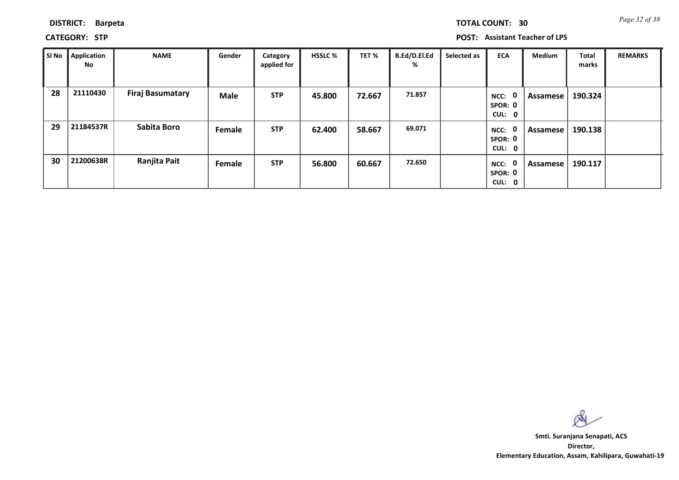|  | TOTAL COUNT: | 30 |
|--|--------------|----|

**CATEGORY: STP POST: Assistant Teacher of LPS**

| SI No | Application<br>No | <b>NAME</b>             | Gender | Category<br>applied for | <b>HSSLC %</b> | TET %  | B.Ed/D.El.Ed<br>% | Selected as | <b>ECA</b>                                | Medium   | Total<br>marks | <b>REMARKS</b> |
|-------|-------------------|-------------------------|--------|-------------------------|----------------|--------|-------------------|-------------|-------------------------------------------|----------|----------------|----------------|
| 28    | 21110430          | <b>Firaj Basumatary</b> | Male   | <b>STP</b>              | 45.800         | 72.667 | 71.857            |             | $\mathbf{0}$<br>NCC:<br>SPOR: 0<br>CUL: 0 | Assamese | 190.324        |                |
| 29    | 21184537R         | <b>Sabita Boro</b>      | Female | <b>STP</b>              | 62.400         | 58.667 | 69.071            |             | $\mathbf{0}$<br>NCC:<br>SPOR: 0<br>CUL: 0 | Assamese | 190.138        |                |
| 30    | 21200638R         | Ranjita Pait            | Female | <b>STP</b>              | 56.800         | 60.667 | 72.650            |             | $\mathbf 0$<br>NCC:<br>SPOR: 0<br>CUL: 0  | Assamese | 190.117        |                |

 $\infty$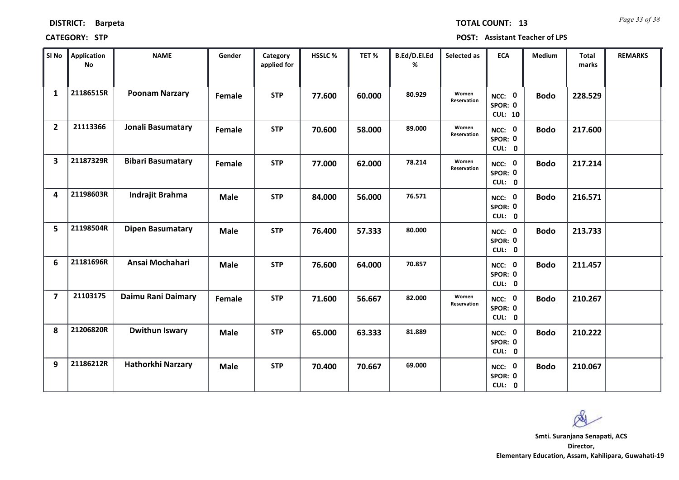| SI No                   | Application<br><b>No</b> | <b>NAME</b>              | Gender      | Category<br>applied for | HSSLC% | TET %  | B.Ed/D.El.Ed<br>% | Selected as          | <b>ECA</b>                          | Medium      | Total<br>marks | <b>REMARKS</b> |
|-------------------------|--------------------------|--------------------------|-------------|-------------------------|--------|--------|-------------------|----------------------|-------------------------------------|-------------|----------------|----------------|
| $\mathbf{1}$            | 21186515R                | <b>Poonam Narzary</b>    | Female      | <b>STP</b>              | 77.600 | 60.000 | 80.929            | Women<br>Reservation | NCC: 0<br>SPOR: 0<br><b>CUL: 10</b> | <b>Bodo</b> | 228.529        |                |
| $\overline{2}$          | 21113366                 | Jonali Basumatary        | Female      | <b>STP</b>              | 70.600 | 58.000 | 89.000            | Women<br>Reservation | NCC: 0<br>SPOR: 0<br>CUL: 0         | <b>Bodo</b> | 217.600        |                |
| $\overline{\mathbf{3}}$ | 21187329R                | <b>Bibari Basumatary</b> | Female      | <b>STP</b>              | 77.000 | 62.000 | 78.214            | Women<br>Reservation | NCC: 0<br>SPOR: 0<br>CUL: 0         | <b>Bodo</b> | 217.214        |                |
| 4                       | 21198603R                | Indrajit Brahma          | <b>Male</b> | <b>STP</b>              | 84.000 | 56.000 | 76.571            |                      | NCC: 0<br>SPOR: 0<br>CUL: 0         | <b>Bodo</b> | 216.571        |                |
| 5                       | 21198504R                | <b>Dipen Basumatary</b>  | <b>Male</b> | <b>STP</b>              | 76.400 | 57.333 | 80.000            |                      | NCC: 0<br>SPOR: 0<br>CUL: 0         | <b>Bodo</b> | 213.733        |                |
| 6                       | 21181696R                | Ansai Mochahari          | Male        | <b>STP</b>              | 76.600 | 64.000 | 70.857            |                      | NCC: 0<br>SPOR: 0<br>CUL: 0         | <b>Bodo</b> | 211.457        |                |
| $\overline{7}$          | 21103175                 | Daimu Rani Daimary       | Female      | <b>STP</b>              | 71.600 | 56.667 | 82.000            | Women<br>Reservation | NCC: 0<br>SPOR: 0<br>CUL: 0         | <b>Bodo</b> | 210.267        |                |
| 8                       | 21206820R                | <b>Dwithun Iswary</b>    | <b>Male</b> | <b>STP</b>              | 65.000 | 63.333 | 81.889            |                      | NCC: 0<br>SPOR: 0<br>CUL: 0         | <b>Bodo</b> | 210.222        |                |
| 9                       | 21186212R                | <b>Hathorkhi Narzary</b> | <b>Male</b> | <b>STP</b>              | 70.400 | 70.667 | 69.000            |                      | NCC: 0<br>SPOR: 0<br>CUL: 0         | <b>Bodo</b> | 210.067        |                |

#### **CATEGORY: STP POST: Assistant Teacher of LPS**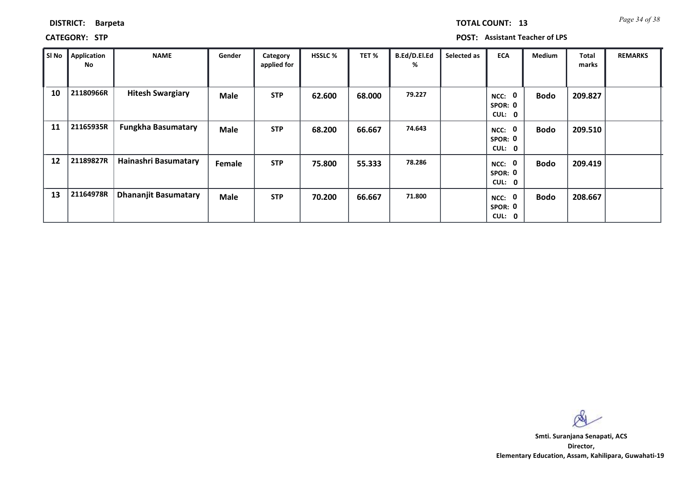| <b>TOTAL COUNT: 13</b> |  | Page 34 of 38 |
|------------------------|--|---------------|
|------------------------|--|---------------|

**CATEGORY: STP POST: Assistant Teacher of LPS**

| SI No | <b>Application</b><br>No | <b>NAME</b>                 | Gender      | Category<br>applied for | <b>HSSLC %</b> | TET %  | B.Ed/D.El.Ed<br>% | Selected as | <b>ECA</b>                                  | <b>Medium</b> | Total<br>marks | <b>REMARKS</b> |
|-------|--------------------------|-----------------------------|-------------|-------------------------|----------------|--------|-------------------|-------------|---------------------------------------------|---------------|----------------|----------------|
| 10    | 21180966R                | <b>Hitesh Swargiary</b>     | <b>Male</b> | <b>STP</b>              | 62.600         | 68.000 | 79.227            |             | $\mathbf 0$<br>NCC:<br>SPOR: 0<br>CUL: 0    | <b>Bodo</b>   | 209.827        |                |
| 11    | 21165935R                | <b>Fungkha Basumatary</b>   | <b>Male</b> | <b>STP</b>              | 68.200         | 66.667 | 74.643            |             | $\mathbf 0$<br>NCC:<br>SPOR: 0<br>CUL: 0    | <b>Bodo</b>   | 209.510        |                |
| 12    | 21189827R                | Hainashri Basumatary        | Female      | <b>STP</b>              | 75.800         | 55.333 | 78.286            |             | $\mathbf 0$<br>NCC:<br>SPOR: 0<br>CUL: 0    | <b>Bodo</b>   | 209.419        |                |
| 13    | 21164978R                | <b>Dhananjit Basumatary</b> | <b>Male</b> | <b>STP</b>              | 70.200         | 66.667 | 71.800            |             | $\mathbf 0$<br>NCC:<br>SPOR: 0<br>CUL:<br>0 | <b>Bodo</b>   | 208.667        |                |

 $\infty$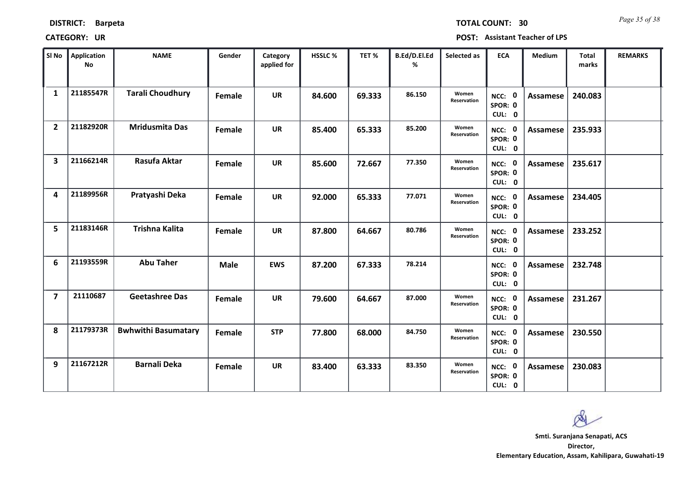| <b>DISTRICT:</b> | <b>Barpeta</b> |
|------------------|----------------|
|------------------|----------------|

*Page 35 of 38* **TOTAL COUNT: 30**

**CATEGORY: UR POST: Assistant Teacher of LPS**

| SI <sub>No</sub>        | <b>Application</b><br><b>No</b> | <b>NAME</b>                | Gender      | Category<br>applied for | <b>HSSLC %</b> | TET %  | B.Ed/D.El.Ed<br>% | Selected as                 | <b>ECA</b>                  | <b>Medium</b>   | <b>Total</b><br>marks | <b>REMARKS</b> |
|-------------------------|---------------------------------|----------------------------|-------------|-------------------------|----------------|--------|-------------------|-----------------------------|-----------------------------|-----------------|-----------------------|----------------|
| 1                       | 21185547R                       | <b>Tarali Choudhury</b>    | Female      | <b>UR</b>               | 84.600         | 69.333 | 86.150            | Women<br>Reservation        | NCC: 0<br>SPOR: 0<br>CUL: 0 | <b>Assamese</b> | 240.083               |                |
| $\overline{2}$          | 21182920R                       | <b>Mridusmita Das</b>      | Female      | <b>UR</b>               | 85.400         | 65.333 | 85.200            | Women<br><b>Reservation</b> | NCC: 0<br>SPOR: 0<br>CUL: 0 | <b>Assamese</b> | 235.933               |                |
| $\overline{\mathbf{3}}$ | 21166214R                       | Rasufa Aktar               | Female      | <b>UR</b>               | 85.600         | 72.667 | 77.350            | Women<br>Reservation        | NCC: 0<br>SPOR: 0<br>CUL: 0 | <b>Assamese</b> | 235.617               |                |
| 4                       | 21189956R                       | Pratyashi Deka             | Female      | <b>UR</b>               | 92.000         | 65.333 | 77.071            | Women<br>Reservation        | NCC: 0<br>SPOR: 0<br>CUL: 0 | Assamese        | 234.405               |                |
| 5                       | 21183146R                       | <b>Trishna Kalita</b>      | Female      | <b>UR</b>               | 87.800         | 64.667 | 80.786            | Women<br><b>Reservation</b> | NCC: 0<br>SPOR: 0<br>CUL: 0 | <b>Assamese</b> | 233.252               |                |
| 6                       | 21193559R                       | <b>Abu Taher</b>           | <b>Male</b> | <b>EWS</b>              | 87.200         | 67.333 | 78.214            |                             | NCC: 0<br>SPOR: 0<br>CUL: 0 | <b>Assamese</b> | 232.748               |                |
| $\overline{\mathbf{z}}$ | 21110687                        | <b>Geetashree Das</b>      | Female      | <b>UR</b>               | 79.600         | 64.667 | 87.000            | Women<br>Reservation        | NCC: 0<br>SPOR: 0<br>CUL: 0 | <b>Assamese</b> | 231.267               |                |
| 8                       | 21179373R                       | <b>Bwhwithi Basumatary</b> | Female      | <b>STP</b>              | 77.800         | 68.000 | 84.750            | Women<br>Reservation        | NCC: 0<br>SPOR: 0<br>CUL: 0 | <b>Assamese</b> | 230.550               |                |
| 9                       | 21167212R                       | <b>Barnali Deka</b>        | Female      | <b>UR</b>               | 83.400         | 63.333 | 83.350            | Women<br>Reservation        | NCC: 0<br>SPOR: 0<br>CUL: 0 | Assamese        | 230.083               |                |

 $\infty$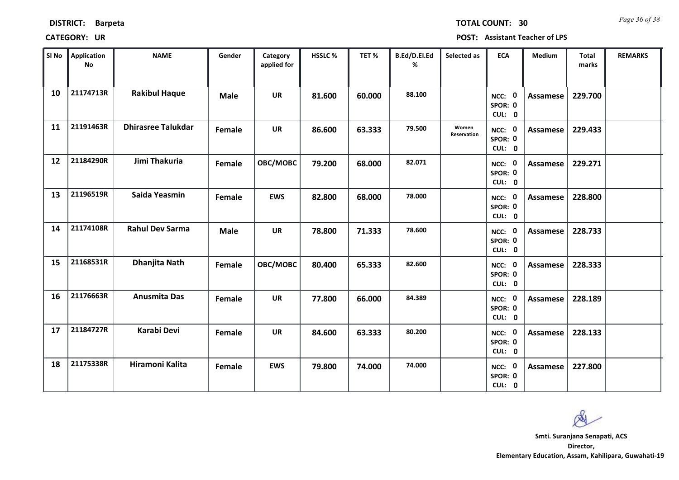| Sl No | Application<br>No | <b>NAME</b>               | Gender      | Category<br>applied for | HSSLC % | TET %  | B.Ed/D.El.Ed<br>% | Selected as          | <b>ECA</b>                  | Medium          | <b>Total</b><br>marks | <b>REMARKS</b> |
|-------|-------------------|---------------------------|-------------|-------------------------|---------|--------|-------------------|----------------------|-----------------------------|-----------------|-----------------------|----------------|
| 10    | 21174713R         | <b>Rakibul Haque</b>      | <b>Male</b> | <b>UR</b>               | 81.600  | 60.000 | 88.100            |                      | NCC: 0<br>SPOR: 0<br>CUL: 0 | <b>Assamese</b> | 229.700               |                |
| 11    | 21191463R         | <b>Dhirasree Talukdar</b> | Female      | <b>UR</b>               | 86.600  | 63.333 | 79.500            | Women<br>Reservation | NCC: 0<br>SPOR: 0<br>CUL: 0 | Assamese        | 229.433               |                |
| 12    | 21184290R         | Jimi Thakuria             | Female      | OBC/MOBC                | 79.200  | 68.000 | 82.071            |                      | NCC: 0<br>SPOR: 0<br>CUL: 0 | Assamese        | 229.271               |                |
| 13    | 21196519R         | Saida Yeasmin             | Female      | <b>EWS</b>              | 82.800  | 68.000 | 78.000            |                      | NCC: 0<br>SPOR: 0<br>CUL: 0 | Assamese        | 228.800               |                |
| 14    | 21174108R         | <b>Rahul Dev Sarma</b>    | <b>Male</b> | <b>UR</b>               | 78.800  | 71.333 | 78.600            |                      | NCC: 0<br>SPOR: 0<br>CUL: 0 | Assamese        | 228.733               |                |
| 15    | 21168531R         | <b>Dhanjita Nath</b>      | Female      | OBC/MOBC                | 80.400  | 65.333 | 82.600            |                      | NCC: 0<br>SPOR: 0<br>CUL: 0 | Assamese        | 228.333               |                |
| 16    | 21176663R         | <b>Anusmita Das</b>       | Female      | <b>UR</b>               | 77.800  | 66.000 | 84.389            |                      | NCC: 0<br>SPOR: 0<br>CUL: 0 | Assamese        | 228.189               |                |
| 17    | 21184727R         | Karabi Devi               | Female      | <b>UR</b>               | 84.600  | 63.333 | 80.200            |                      | NCC: 0<br>SPOR: 0<br>CUL: 0 | Assamese        | 228.133               |                |
| 18    | 21175338R         | Hiramoni Kalita           | Female      | <b>EWS</b>              | 79.800  | 74.000 | 74.000            |                      | NCC: 0<br>SPOR: 0<br>CUL: 0 | <b>Assamese</b> | 227.800               |                |

## **CATEGORY: UR POST: Assistant Teacher of LPS**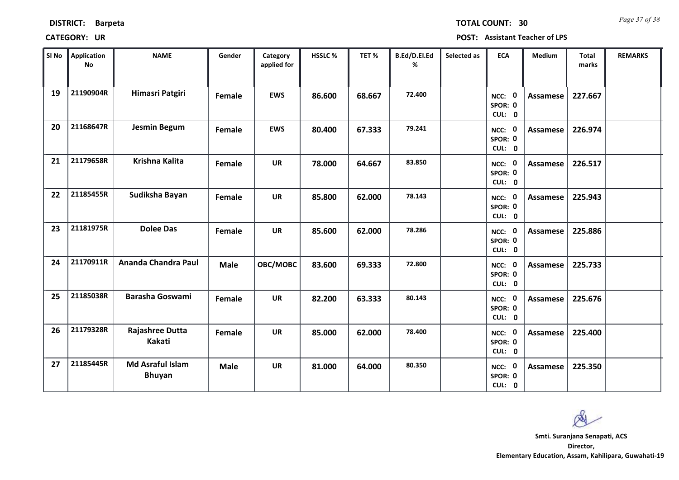| <b>DISTRICT:</b> | <b>Barpeta</b> |
|------------------|----------------|
|------------------|----------------|

*Page 37 of 38* **TOTAL COUNT: 30**

**CATEGORY: UR POST: Assistant Teacher of LPS**

| SI No | <b>Application</b><br>No | <b>NAME</b>                              | Gender      | Category<br>applied for | <b>HSSLC%</b> | TET %  | B.Ed/D.El.Ed<br>% | Selected as | <b>ECA</b>                  | <b>Medium</b>   | <b>Total</b><br>marks | <b>REMARKS</b> |
|-------|--------------------------|------------------------------------------|-------------|-------------------------|---------------|--------|-------------------|-------------|-----------------------------|-----------------|-----------------------|----------------|
| 19    | 21190904R                | Himasri Patgiri                          | Female      | <b>EWS</b>              | 86.600        | 68.667 | 72,400            |             | NCC: 0<br>SPOR: 0<br>CUL: 0 | <b>Assamese</b> | 227.667               |                |
| 20    | 21168647R                | <b>Jesmin Begum</b>                      | Female      | <b>EWS</b>              | 80.400        | 67.333 | 79.241            |             | NCC: 0<br>SPOR: 0<br>CUL: 0 | Assamese        | 226.974               |                |
| 21    | 21179658R                | <b>Krishna Kalita</b>                    | Female      | <b>UR</b>               | 78.000        | 64.667 | 83.850            |             | NCC: 0<br>SPOR: 0<br>CUL: 0 | Assamese        | 226.517               |                |
| 22    | 21185455R                | Sudiksha Bayan                           | Female      | <b>UR</b>               | 85.800        | 62.000 | 78.143            |             | NCC: 0<br>SPOR: 0<br>CUL: 0 | Assamese        | 225.943               |                |
| 23    | 21181975R                | <b>Dolee Das</b>                         | Female      | <b>UR</b>               | 85.600        | 62.000 | 78.286            |             | NCC: 0<br>SPOR: 0<br>CUL: 0 | Assamese        | 225.886               |                |
| 24    | 21170911R                | Ananda Chandra Paul                      | <b>Male</b> | OBC/MOBC                | 83.600        | 69.333 | 72.800            |             | NCC: 0<br>SPOR: 0<br>CUL: 0 | Assamese        | 225.733               |                |
| 25    | 21185038R                | <b>Barasha Goswami</b>                   | Female      | <b>UR</b>               | 82.200        | 63.333 | 80.143            |             | NCC: 0<br>SPOR: 0<br>CUL: 0 | Assamese        | 225.676               |                |
| 26    | 21179328R                | Rajashree Dutta<br>Kakati                | Female      | <b>UR</b>               | 85.000        | 62.000 | 78.400            |             | NCC: 0<br>SPOR: 0<br>CUL: 0 | <b>Assamese</b> | 225.400               |                |
| 27    | 21185445R                | <b>Md Asraful Islam</b><br><b>Bhuyan</b> | <b>Male</b> | <b>UR</b>               | 81.000        | 64.000 | 80.350            |             | NCC: 0<br>SPOR: 0<br>CUL: 0 | Assamese        | 225.350               |                |

 $\infty$